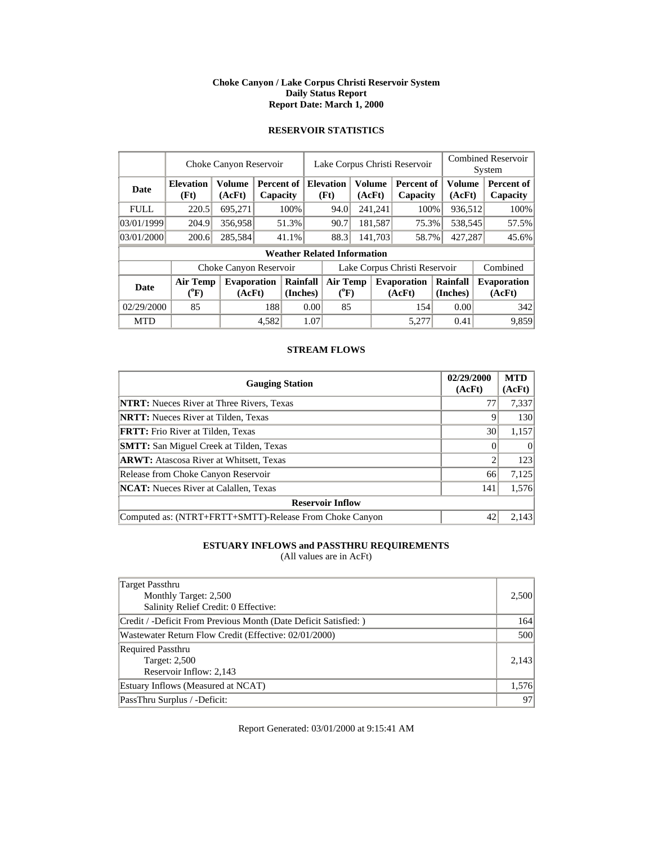### **Choke Canyon / Lake Corpus Christi Reservoir System Daily Status Report Report Date: March 1, 2000**

### **RESERVOIR STATISTICS**

|             |                                       | Choke Canyon Reservoir  |       |                                                    |                               | Lake Corpus Christi Reservoir      |         |         | <b>Combined Reservoir</b><br>System |                      |                         |  |                              |
|-------------|---------------------------------------|-------------------------|-------|----------------------------------------------------|-------------------------------|------------------------------------|---------|---------|-------------------------------------|----------------------|-------------------------|--|------------------------------|
| <b>Date</b> | <b>Elevation</b><br>(Ft)              | <b>Volume</b><br>(AcFt) |       | <b>Elevation</b><br>Percent of<br>(Ft)<br>Capacity |                               |                                    | (AcFt)  | Volume  | <b>Percent of</b><br>Capacity       |                      | <b>Volume</b><br>(AcFt) |  | Percent of<br>Capacity       |
| <b>FULL</b> | 220.5                                 | 695,271                 |       | 100%                                               |                               | 94.0                               |         | 241,241 | 100%                                |                      | 936,512                 |  | 100%                         |
| 03/01/1999  | 204.9                                 | 356,958                 |       | 51.3%                                              |                               | 90.7                               |         | 181,587 | 75.3%                               |                      | 538,545                 |  | 57.5%                        |
| 03/01/2000  | 200.6                                 | 285,584                 |       | 41.1%                                              |                               | 88.3                               | 141,703 |         | 58.7%                               | 427,287              |                         |  | 45.6%                        |
|             |                                       |                         |       |                                                    |                               | <b>Weather Related Information</b> |         |         |                                     |                      |                         |  |                              |
|             |                                       | Choke Canyon Reservoir  |       |                                                    | Lake Corpus Christi Reservoir |                                    |         |         |                                     |                      |                         |  | Combined                     |
| Date        | <b>Air Temp</b><br>$(^{0}\mathrm{F})$ | Evaporation<br>(AcFt)   |       | Rainfall<br>(Inches)                               |                               | Air Temp<br>$(^{0}F)$              |         |         | <b>Evaporation</b><br>(AcFt)        | Rainfall<br>(Inches) |                         |  | <b>Evaporation</b><br>(AcFt) |
| 02/29/2000  | 85                                    |                         | 188   |                                                    | 0.00                          |                                    | 85      |         | 154                                 |                      | 0.00                    |  | 342                          |
| <b>MTD</b>  |                                       |                         | 4,582 |                                                    | 1.07                          |                                    |         |         | 5.277                               |                      | 0.41                    |  | 9,859                        |

### **STREAM FLOWS**

| <b>Gauging Station</b>                                  | 02/29/2000<br>(AcFt) | <b>MTD</b><br>(AcFt) |
|---------------------------------------------------------|----------------------|----------------------|
| <b>NTRT:</b> Nueces River at Three Rivers, Texas        |                      | 7,337                |
| <b>NRTT:</b> Nueces River at Tilden, Texas              | 9                    | 130                  |
| <b>FRTT:</b> Frio River at Tilden, Texas                | 30                   | 1,157                |
| <b>SMTT:</b> San Miguel Creek at Tilden, Texas          |                      | $\Omega$             |
| <b>ARWT:</b> Atascosa River at Whitsett, Texas          |                      | 123                  |
| Release from Choke Canyon Reservoir                     | 66                   | 7,125                |
| <b>NCAT:</b> Nueces River at Calallen, Texas            | 141                  | 1,576                |
| <b>Reservoir Inflow</b>                                 |                      |                      |
| Computed as: (NTRT+FRTT+SMTT)-Release From Choke Canyon | 42                   | 2.143                |

# **ESTUARY INFLOWS and PASSTHRU REQUIREMENTS**

(All values are in AcFt)

| Target Passthru<br>Monthly Target: 2,500<br>Salinity Relief Credit: 0 Effective: | 2,500 |
|----------------------------------------------------------------------------------|-------|
| Credit / -Deficit From Previous Month (Date Deficit Satisfied: )                 | 164   |
| Wastewater Return Flow Credit (Effective: 02/01/2000)                            | 500   |
| <b>Required Passthru</b><br><b>Target: 2,500</b><br>Reservoir Inflow: 2,143      | 2.143 |
| Estuary Inflows (Measured at NCAT)                                               | 1,576 |
| PassThru Surplus / -Deficit:                                                     | 97    |

Report Generated: 03/01/2000 at 9:15:41 AM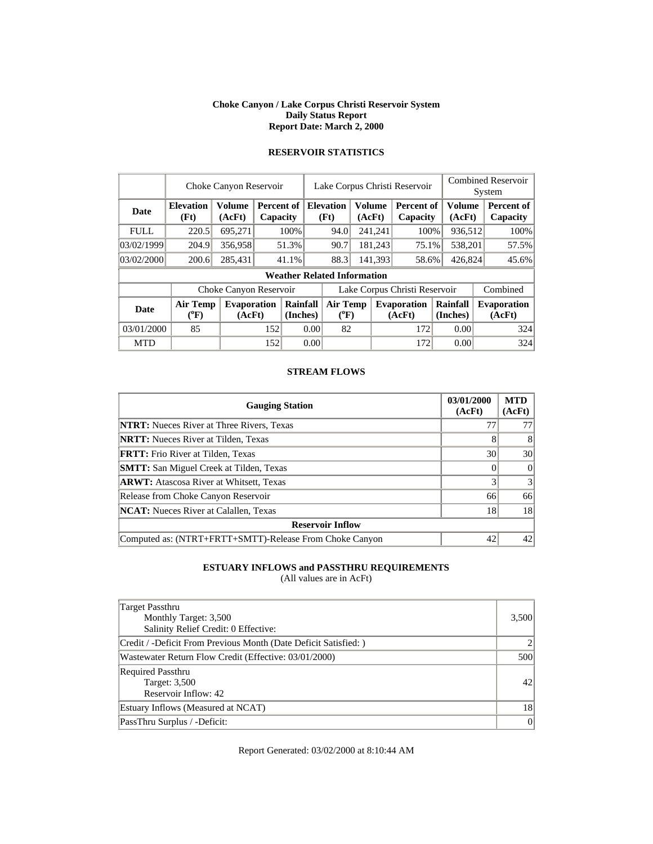#### **Choke Canyon / Lake Corpus Christi Reservoir System Daily Status Report Report Date: March 2, 2000**

| <b>RESERVOIR STATISTICS</b> |
|-----------------------------|
|                             |

|             |                                       | Choke Canyon Reservoir       |     |                        |                               | Lake Corpus Christi Reservoir      |                         |         |                               | <b>Combined Reservoir</b><br>System |                  |  |                              |  |       |
|-------------|---------------------------------------|------------------------------|-----|------------------------|-------------------------------|------------------------------------|-------------------------|---------|-------------------------------|-------------------------------------|------------------|--|------------------------------|--|-------|
| <b>Date</b> | <b>Elevation</b><br>(Ft)              | Volume<br>(AcFt)             |     | Percent of<br>Capacity |                               | <b>Elevation</b><br>(Ft)           | <b>Volume</b><br>(AcFt) |         | <b>Percent of</b><br>Capacity |                                     | Volume<br>(AcFt) |  | Percent of<br>Capacity       |  |       |
| <b>FULL</b> | 220.5                                 | 695,271                      |     | 100%                   |                               | 94.0                               |                         | 241,241 | 100%                          |                                     | 936,512          |  | 100%                         |  |       |
| 03/02/1999  | 204.9                                 | 356,958                      |     | 51.3%                  |                               |                                    |                         | 90.7    |                               | 181,243                             | 75.1%            |  | 538,201                      |  | 57.5% |
| 03/02/2000  | 200.6                                 | 285,431                      |     | 41.1%                  |                               | 88.3                               |                         | 141,393 | 58.6%                         | 426,824                             |                  |  | 45.6%                        |  |       |
|             |                                       |                              |     |                        |                               | <b>Weather Related Information</b> |                         |         |                               |                                     |                  |  |                              |  |       |
|             |                                       | Choke Canyon Reservoir       |     |                        | Lake Corpus Christi Reservoir |                                    |                         |         |                               |                                     |                  |  | Combined                     |  |       |
| <b>Date</b> | <b>Air Temp</b><br>$({}^0\mathrm{F})$ | <b>Evaporation</b><br>(AcFt) |     | Rainfall<br>(Inches)   |                               | <b>Air Temp</b><br>$(^{\circ}F)$   |                         |         | <b>Evaporation</b><br>(AcFt)  | Rainfall<br>(Inches)                |                  |  | <b>Evaporation</b><br>(AcFt) |  |       |
| 03/01/2000  | 85                                    |                              | 152 | 0.00                   |                               | 82                                 |                         | 172     |                               |                                     | 0.00             |  | 324                          |  |       |
| <b>MTD</b>  |                                       |                              | 152 |                        | 0.00                          |                                    |                         |         | 172                           |                                     | 0.00             |  | 324                          |  |       |

### **STREAM FLOWS**

| <b>Gauging Station</b>                                  | 03/01/2000<br>(AcFt) | <b>MTD</b><br>(AcFt) |
|---------------------------------------------------------|----------------------|----------------------|
| <b>NTRT:</b> Nueces River at Three Rivers, Texas        | $7^{\circ}$          | 77                   |
| <b>NRTT:</b> Nueces River at Tilden, Texas              |                      | 8                    |
| <b>FRTT:</b> Frio River at Tilden, Texas                | 30                   | 30                   |
| <b>SMTT:</b> San Miguel Creek at Tilden, Texas          |                      | $\Omega$             |
| <b>ARWT:</b> Atascosa River at Whitsett, Texas          |                      | 3                    |
| Release from Choke Canyon Reservoir                     | 66                   | 66                   |
| <b>NCAT:</b> Nueces River at Calallen, Texas            | 18                   | 18                   |
| <b>Reservoir Inflow</b>                                 |                      |                      |
| Computed as: (NTRT+FRTT+SMTT)-Release From Choke Canyon | 42                   | 42                   |

## **ESTUARY INFLOWS and PASSTHRU REQUIREMENTS**

(All values are in AcFt)

| Target Passthru<br>Monthly Target: 3,500<br>Salinity Relief Credit: 0 Effective: | 3,500 |
|----------------------------------------------------------------------------------|-------|
| Credit / -Deficit From Previous Month (Date Deficit Satisfied: )                 |       |
| Wastewater Return Flow Credit (Effective: 03/01/2000)                            | 500   |
| <b>Required Passthru</b><br>Target: 3,500<br>Reservoir Inflow: 42                | 42    |
| Estuary Inflows (Measured at NCAT)                                               | 18    |
| PassThru Surplus / -Deficit:                                                     | 0     |

Report Generated: 03/02/2000 at 8:10:44 AM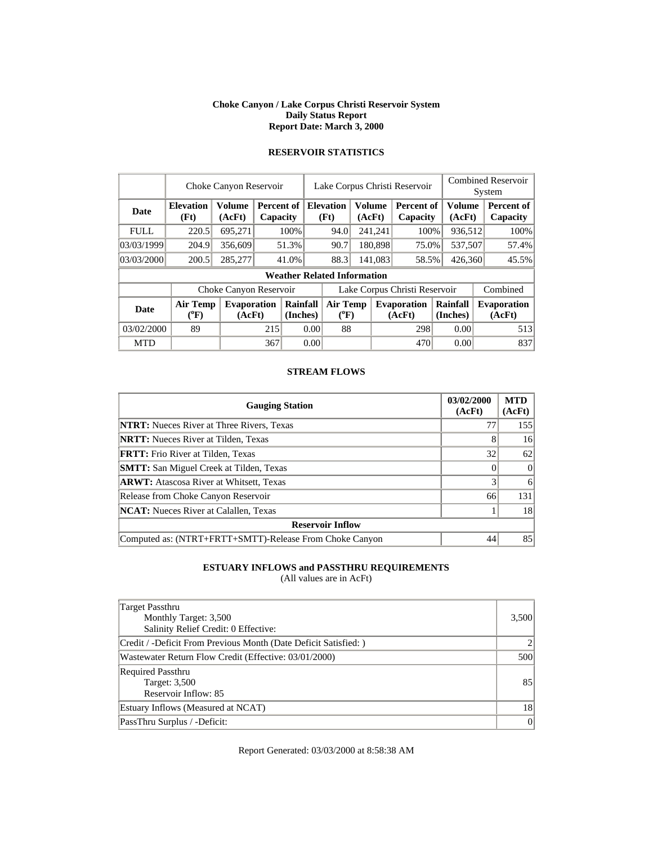#### **Choke Canyon / Lake Corpus Christi Reservoir System Daily Status Report Report Date: March 3, 2000**

| <b>RESERVOIR STATISTICS</b> |  |  |  |
|-----------------------------|--|--|--|
|                             |  |  |  |

|             |                                | Choke Canyon Reservoir       |       |                                    |                       | Lake Corpus Christi Reservoir                |  |                  | <b>Combined Reservoir</b><br>System |                         |  |                              |
|-------------|--------------------------------|------------------------------|-------|------------------------------------|-----------------------|----------------------------------------------|--|------------------|-------------------------------------|-------------------------|--|------------------------------|
| Date        | <b>Elevation</b><br>(Ft)       | Volume<br>(AcFt)             |       | Percent of<br>Capacity             |                       | <b>Elevation</b><br>Volume<br>(Ft)<br>(AcFt) |  |                  | Percent of<br>Capacity              | <b>Volume</b><br>(AcFt) |  | Percent of<br>Capacity       |
| <b>FULL</b> | 220.5                          | 695,271                      |       | 100%                               |                       | 94.0                                         |  | 241,241          | 100%                                | 936,512                 |  | 100%                         |
| 03/03/1999  | 204.9                          | 356,609                      | 51.3% |                                    |                       | 90.7                                         |  | 180.898          | 75.0%                               | 537,507                 |  | 57.4%                        |
| 03/03/2000  | 200.5                          | 285,277                      |       | 41.0%                              |                       | 88.3                                         |  | 141.083<br>58.5% |                                     | 426,360                 |  | 45.5%                        |
|             |                                |                              |       | <b>Weather Related Information</b> |                       |                                              |  |                  |                                     |                         |  |                              |
|             |                                | Choke Canyon Reservoir       |       |                                    |                       | Lake Corpus Christi Reservoir                |  |                  |                                     |                         |  | Combined                     |
| Date        | Air Temp<br>$({}^0\mathrm{F})$ | <b>Evaporation</b><br>(AcFt) |       | Rainfall<br>(Inches)               | Air Temp<br>$(^{0}F)$ |                                              |  |                  | Evaporation<br>(AcFt)               | Rainfall<br>(Inches)    |  | <b>Evaporation</b><br>(AcFt) |
| 03/02/2000  | 89                             |                              | 215   |                                    | 0.00                  | 88                                           |  |                  | 298                                 | 0.00                    |  | 513                          |
| <b>MTD</b>  |                                |                              | 367   |                                    | 0.00                  |                                              |  |                  | 470                                 | 0.00                    |  | 837                          |

### **STREAM FLOWS**

| <b>Gauging Station</b>                                  | 03/02/2000<br>(AcFt) | <b>MTD</b><br>(AcFt) |
|---------------------------------------------------------|----------------------|----------------------|
| <b>NTRT:</b> Nueces River at Three Rivers, Texas        | 77                   | 155                  |
| <b>NRTT:</b> Nueces River at Tilden, Texas              |                      | 16                   |
| <b>FRTT:</b> Frio River at Tilden, Texas                | 32                   | 62                   |
| <b>SMTT:</b> San Miguel Creek at Tilden, Texas          |                      | $\Omega$             |
| <b>ARWT:</b> Atascosa River at Whitsett, Texas          |                      | 6                    |
| Release from Choke Canyon Reservoir                     | 66                   | 131                  |
| <b>NCAT:</b> Nueces River at Calallen, Texas            |                      | 18                   |
| <b>Reservoir Inflow</b>                                 |                      |                      |
| Computed as: (NTRT+FRTT+SMTT)-Release From Choke Canyon | 44                   | 85                   |

## **ESTUARY INFLOWS and PASSTHRU REQUIREMENTS**

(All values are in AcFt)

| Target Passthru<br>Monthly Target: 3,500<br>Salinity Relief Credit: 0 Effective: | 3,500 |
|----------------------------------------------------------------------------------|-------|
| Credit / -Deficit From Previous Month (Date Deficit Satisfied: )                 |       |
| Wastewater Return Flow Credit (Effective: 03/01/2000)                            | 500   |
| <b>Required Passthru</b><br>Target: 3,500<br>Reservoir Inflow: 85                | 85    |
| Estuary Inflows (Measured at NCAT)                                               | 18    |
| PassThru Surplus / -Deficit:                                                     | 0     |

Report Generated: 03/03/2000 at 8:58:38 AM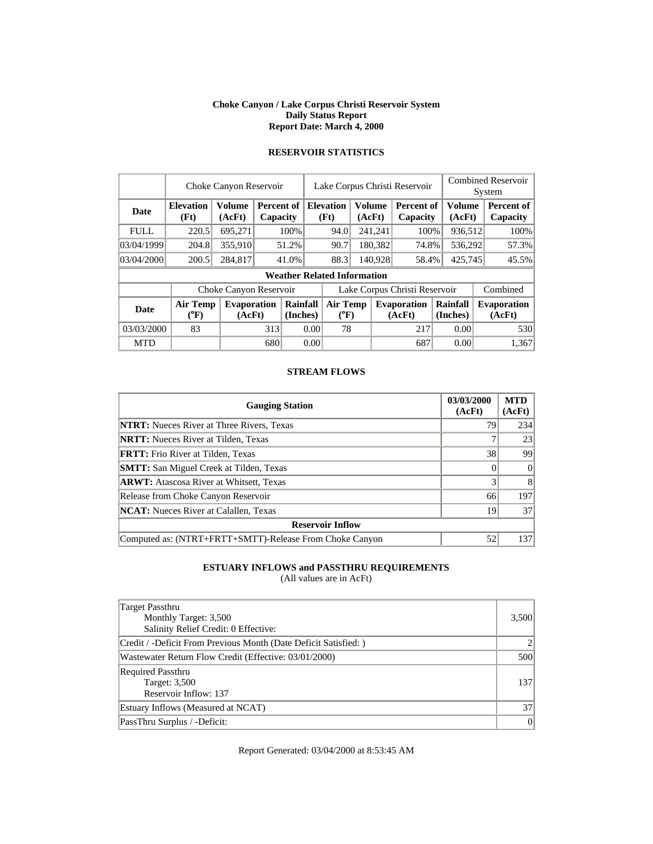#### **Choke Canyon / Lake Corpus Christi Reservoir System Daily Status Report Report Date: March 4, 2000**

|             |                              | Choke Canyon Reservoir       |     |                        |                               | Lake Corpus Christi Reservoir      |                         |                 | <b>Combined Reservoir</b><br>System |                              |                  |  |                        |  |                              |
|-------------|------------------------------|------------------------------|-----|------------------------|-------------------------------|------------------------------------|-------------------------|-----------------|-------------------------------------|------------------------------|------------------|--|------------------------|--|------------------------------|
| Date        | <b>Elevation</b><br>(Ft)     | <b>Volume</b><br>(AcFt)      |     | Percent of<br>Capacity |                               | <b>Elevation</b><br>(Ft)           | <b>Volume</b><br>(AcFt) |                 | <b>Percent of</b><br>Capacity       |                              | Volume<br>(AcFt) |  | Percent of<br>Capacity |  |                              |
| <b>FULL</b> | 220.5                        | 695,271                      |     | 100%                   |                               | 94.0                               |                         | 241,241         | 100%                                |                              | 936,512          |  | 100%                   |  |                              |
| 03/04/1999  | 204.8                        | 355,910                      |     | 51.2%                  |                               | 90.7                               | 180,382                 |                 | 74.8%                               |                              | 536,292          |  | 57.3%                  |  |                              |
| 03/04/2000  | 200.5                        | 284,817                      |     | 41.0%                  |                               | 88.3                               | 140,928                 |                 | 58.4%                               |                              | 425,745          |  | 45.5%                  |  |                              |
|             |                              |                              |     |                        |                               | <b>Weather Related Information</b> |                         |                 |                                     |                              |                  |  |                        |  |                              |
|             |                              | Choke Canyon Reservoir       |     |                        | Lake Corpus Christi Reservoir |                                    |                         |                 |                                     |                              |                  |  | Combined               |  |                              |
| <b>Date</b> | <b>Air Temp</b><br>$(^{0}F)$ | <b>Evaporation</b><br>(AcFt) |     | Rainfall<br>(Inches)   |                               | $(^{0}F)$                          |                         | <b>Air Temp</b> |                                     | <b>Evaporation</b><br>(AcFt) |                  |  | Rainfall<br>(Inches)   |  | <b>Evaporation</b><br>(AcFt) |
| 03/03/2000  | 83                           |                              | 313 |                        | 0.00                          |                                    | 78                      | 217             |                                     |                              | 0.00             |  | 530                    |  |                              |
| <b>MTD</b>  |                              |                              | 680 |                        | 0.00                          |                                    |                         |                 | 687                                 |                              | 0.00             |  | 1,367                  |  |                              |

# **RESERVOIR STATISTICS**

### **STREAM FLOWS**

| <b>Gauging Station</b>                                  | 03/03/2000<br>(AcFt) | <b>MTD</b><br>(AcFt) |
|---------------------------------------------------------|----------------------|----------------------|
| <b>NTRT:</b> Nueces River at Three Rivers, Texas        | 79                   | 234                  |
| <b>NRTT:</b> Nueces River at Tilden, Texas              |                      | 23                   |
| <b>FRTT:</b> Frio River at Tilden, Texas                | 38                   | 99                   |
| <b>SMTT:</b> San Miguel Creek at Tilden, Texas          |                      | $\Omega$             |
| <b>ARWT:</b> Atascosa River at Whitsett, Texas          |                      | 8                    |
| Release from Choke Canyon Reservoir                     | 66                   | 197                  |
| <b>NCAT:</b> Nueces River at Calallen, Texas            | 19                   | 37                   |
| <b>Reservoir Inflow</b>                                 |                      |                      |
| Computed as: (NTRT+FRTT+SMTT)-Release From Choke Canyon | 52                   | 137                  |

## **ESTUARY INFLOWS and PASSTHRU REQUIREMENTS**

(All values are in AcFt)

| Target Passthru<br>Monthly Target: 3,500<br>Salinity Relief Credit: 0 Effective: | 3,500 |
|----------------------------------------------------------------------------------|-------|
| Credit / -Deficit From Previous Month (Date Deficit Satisfied: )                 |       |
| Wastewater Return Flow Credit (Effective: 03/01/2000)                            | 500   |
| <b>Required Passthru</b><br>Target: 3,500<br>Reservoir Inflow: 137               | 137   |
| Estuary Inflows (Measured at NCAT)                                               | 37    |
| PassThru Surplus / -Deficit:                                                     | 0     |

Report Generated: 03/04/2000 at 8:53:45 AM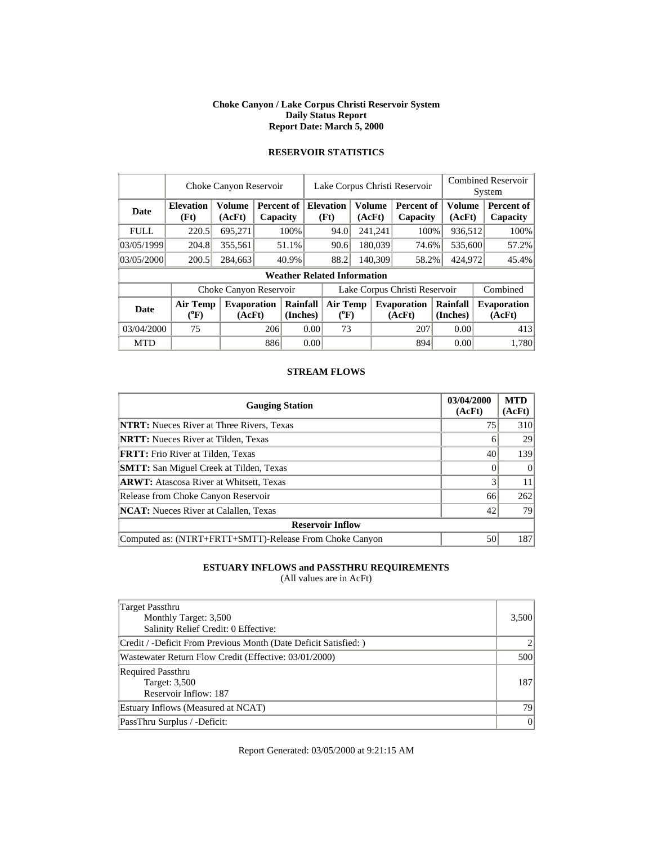#### **Choke Canyon / Lake Corpus Christi Reservoir System Daily Status Report Report Date: March 5, 2000**

|             |                              | Choke Canyon Reservoir       |     |                                    |                               | Lake Corpus Christi Reservoir |                  |         | <b>Combined Reservoir</b><br>System |                      |  |                              |
|-------------|------------------------------|------------------------------|-----|------------------------------------|-------------------------------|-------------------------------|------------------|---------|-------------------------------------|----------------------|--|------------------------------|
| <b>Date</b> | <b>Elevation</b><br>(Ft)     | <b>Volume</b><br>(AcFt)      |     | Percent of<br>Capacity             |                               | <b>Elevation</b><br>(Ft)      | Volume<br>(AcFt) |         | Percent of<br>Capacity              | Volume<br>(AcFt)     |  | Percent of<br>Capacity       |
| <b>FULL</b> | 220.5                        | 695,271                      |     | 100%                               |                               | 94.0                          |                  | 241,241 | 100%                                | 936,512              |  | 100%                         |
| 03/05/1999  | 204.8                        | 355,561                      |     | 51.1%                              |                               | 90.6                          |                  | 180,039 | 74.6%                               | 535,600              |  | 57.2%                        |
| 03/05/2000  | 200.5                        | 284,663                      |     | 40.9%                              |                               | 140.309<br>88.2               |                  |         | 58.2%                               | 424,972              |  | 45.4%                        |
|             |                              |                              |     | <b>Weather Related Information</b> |                               |                               |                  |         |                                     |                      |  |                              |
|             |                              | Choke Canyon Reservoir       |     |                                    | Lake Corpus Christi Reservoir |                               |                  |         |                                     |                      |  | Combined                     |
| <b>Date</b> | <b>Air Temp</b><br>$(^{0}F)$ | <b>Evaporation</b><br>(AcFt) |     | Rainfall<br>(Inches)               | <b>Air Temp</b><br>$(^{0}F)$  |                               |                  |         | <b>Evaporation</b><br>(AcFt)        | Rainfall<br>(Inches) |  | <b>Evaporation</b><br>(AcFt) |
| 03/04/2000  | 75                           |                              | 206 | 0.00                               |                               | 73                            |                  |         | 207                                 | 0.00                 |  | 413                          |
| <b>MTD</b>  |                              |                              | 886 |                                    | 0.00                          |                               |                  |         | 894                                 | 0.00                 |  | 1.780                        |

# **RESERVOIR STATISTICS**

### **STREAM FLOWS**

| <b>Gauging Station</b>                                  | 03/04/2000<br>(AcFt) | <b>MTD</b><br>(AcFt) |
|---------------------------------------------------------|----------------------|----------------------|
| <b>NTRT:</b> Nueces River at Three Rivers, Texas        | 75                   | 310                  |
| <b>NRTT:</b> Nueces River at Tilden, Texas              |                      | 29                   |
| <b>FRTT:</b> Frio River at Tilden, Texas                | 40                   | 139                  |
| <b>SMTT:</b> San Miguel Creek at Tilden, Texas          |                      | $\Omega$             |
| <b>ARWT:</b> Atascosa River at Whitsett, Texas          |                      | 11                   |
| Release from Choke Canyon Reservoir                     | 66                   | 262                  |
| <b>NCAT:</b> Nueces River at Calallen, Texas            | 42                   | 79                   |
| <b>Reservoir Inflow</b>                                 |                      |                      |
| Computed as: (NTRT+FRTT+SMTT)-Release From Choke Canyon | 50                   | 187                  |

## **ESTUARY INFLOWS and PASSTHRU REQUIREMENTS**

(All values are in AcFt)

| Target Passthru<br>Monthly Target: 3,500<br>Salinity Relief Credit: 0 Effective: | 3,500 |
|----------------------------------------------------------------------------------|-------|
| Credit / -Deficit From Previous Month (Date Deficit Satisfied: )                 |       |
| Wastewater Return Flow Credit (Effective: 03/01/2000)                            | 500   |
| <b>Required Passthru</b><br>Target: 3,500<br>Reservoir Inflow: 187               | 187   |
| Estuary Inflows (Measured at NCAT)                                               | 79    |
| PassThru Surplus / -Deficit:                                                     | 0     |

Report Generated: 03/05/2000 at 9:21:15 AM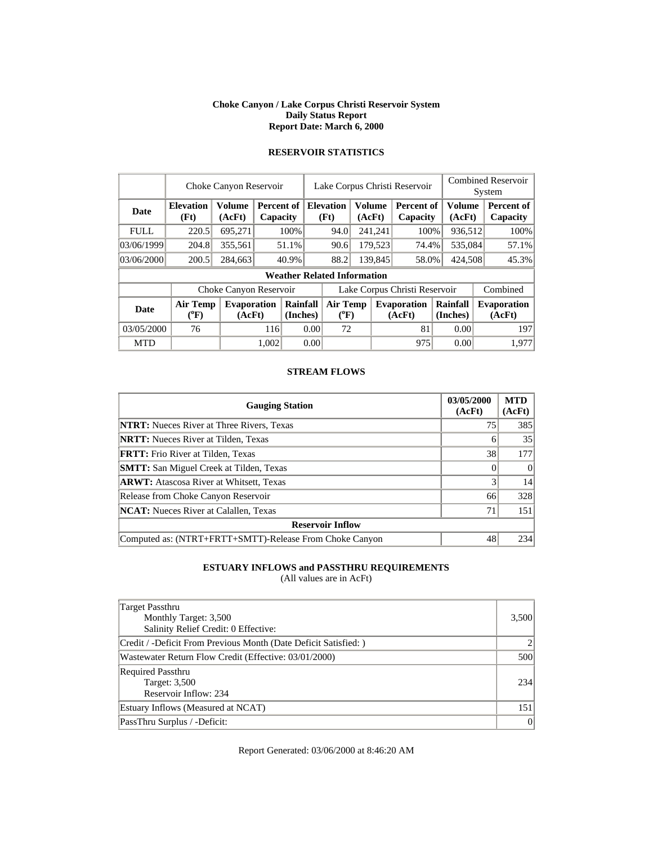#### **Choke Canyon / Lake Corpus Christi Reservoir System Daily Status Report Report Date: March 6, 2000**

|             |                          | Choke Canyon Reservoir       |       |                                    |                                       |                          |                         | Lake Corpus Christi Reservoir |                               | <b>Combined Reservoir</b><br>System |  |                              |
|-------------|--------------------------|------------------------------|-------|------------------------------------|---------------------------------------|--------------------------|-------------------------|-------------------------------|-------------------------------|-------------------------------------|--|------------------------------|
| <b>Date</b> | <b>Elevation</b><br>(Ft) | Volume<br>(AcFt)             |       | Percent of<br>Capacity             |                                       | <b>Elevation</b><br>(Ft) | <b>Volume</b><br>(AcFt) |                               | <b>Percent of</b><br>Capacity | Volume<br>(AcFt)                    |  | Percent of<br>Capacity       |
| <b>FULL</b> | 220.5                    | 695,271                      |       | 100%                               |                                       | 241,241<br>94.0          |                         |                               | 100%                          | 936,512                             |  | 100%                         |
| 03/06/1999  | 204.8                    | 355,561                      |       | 51.1%                              |                                       | 90.6                     |                         | 179,523                       | 74.4%                         | 535,084                             |  | 57.1%                        |
| 03/06/2000  | 200.5                    | 284,663                      |       | 40.9%                              |                                       | 88.2<br>139,845          |                         |                               | 58.0%                         | 424,508                             |  | 45.3%                        |
|             |                          |                              |       | <b>Weather Related Information</b> |                                       |                          |                         |                               |                               |                                     |  |                              |
|             |                          | Choke Canyon Reservoir       |       |                                    | Lake Corpus Christi Reservoir         |                          |                         |                               |                               |                                     |  | Combined                     |
| <b>Date</b> | Air Temp<br>$(^{0}F)$    | <b>Evaporation</b><br>(AcFt) |       | Rainfall<br>(Inches)               | <b>Air Temp</b><br>$({}^0\mathrm{F})$ |                          |                         |                               | <b>Evaporation</b><br>(AcFt)  | Rainfall<br>(Inches)                |  | <b>Evaporation</b><br>(AcFt) |
| 03/05/2000  | 76                       |                              | 116   |                                    | 0.00                                  | 72                       |                         |                               | 81                            | 0.00                                |  | 197                          |
| <b>MTD</b>  |                          |                              | 1.002 |                                    | 0.00                                  |                          |                         |                               | 975                           | 0.00                                |  | 1.977                        |

# **RESERVOIR STATISTICS**

### **STREAM FLOWS**

| <b>Gauging Station</b>                                  | 03/05/2000<br>(AcFt) | <b>MTD</b><br>(AcFt) |
|---------------------------------------------------------|----------------------|----------------------|
| <b>NTRT:</b> Nueces River at Three Rivers, Texas        | 75                   | 385                  |
| <b>NRTT:</b> Nueces River at Tilden, Texas              | h                    | 35                   |
| <b>FRTT:</b> Frio River at Tilden, Texas                | 38                   | 177                  |
| <b>SMTT:</b> San Miguel Creek at Tilden, Texas          |                      | $\Omega$             |
| <b>ARWT:</b> Atascosa River at Whitsett, Texas          |                      | 14                   |
| Release from Choke Canyon Reservoir                     | 66                   | 328                  |
| <b>NCAT:</b> Nueces River at Calallen, Texas            | 71                   | 151                  |
| <b>Reservoir Inflow</b>                                 |                      |                      |
| Computed as: (NTRT+FRTT+SMTT)-Release From Choke Canyon | 48                   | 234                  |

## **ESTUARY INFLOWS and PASSTHRU REQUIREMENTS**

(All values are in AcFt)

| Target Passthru<br>Monthly Target: 3,500<br>Salinity Relief Credit: 0 Effective: | 3,500 |
|----------------------------------------------------------------------------------|-------|
| Credit / -Deficit From Previous Month (Date Deficit Satisfied: )                 |       |
| Wastewater Return Flow Credit (Effective: 03/01/2000)                            | 500   |
| <b>Required Passthru</b><br>Target: 3,500<br>Reservoir Inflow: 234               | 234   |
| Estuary Inflows (Measured at NCAT)                                               | 151   |
| PassThru Surplus / -Deficit:                                                     | 0     |

Report Generated: 03/06/2000 at 8:46:20 AM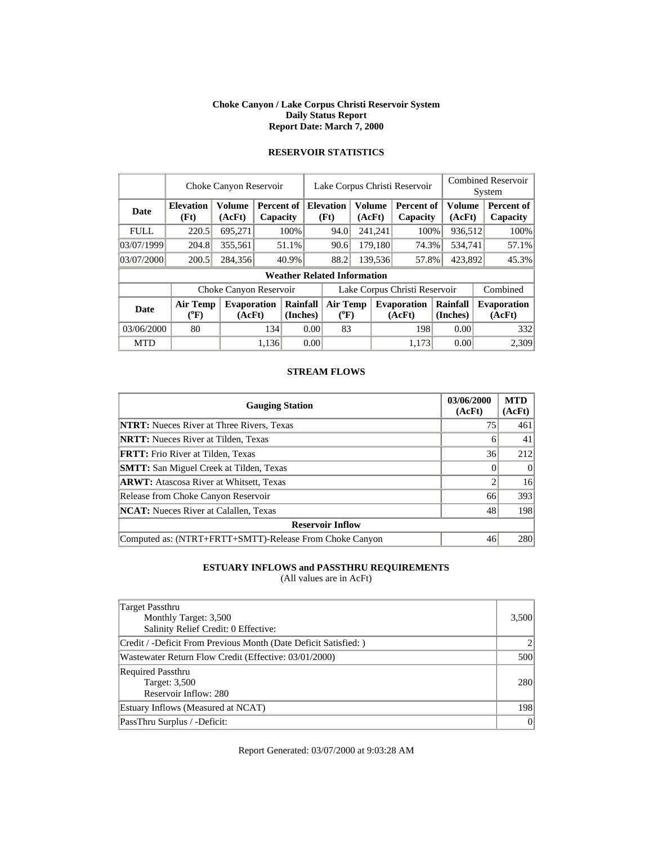#### **Choke Canyon / Lake Corpus Christi Reservoir System Daily Status Report Report Date: March 7, 2000**

|             | Choke Canyon Reservoir   |                              |       |                          |                              | Lake Corpus Christi Reservoir      |         |                          |                               |                      |                               | <b>Combined Reservoir</b><br>System |                         |                        |
|-------------|--------------------------|------------------------------|-------|--------------------------|------------------------------|------------------------------------|---------|--------------------------|-------------------------------|----------------------|-------------------------------|-------------------------------------|-------------------------|------------------------|
| <b>Date</b> | <b>Elevation</b><br>(Ft) | Volume<br>(AcFt)             |       | Percent of 1<br>Capacity |                              |                                    |         | <b>Elevation</b><br>(Ft) | <b>Volume</b><br>(AcFt)       |                      | <b>Percent of</b><br>Capacity |                                     | <b>Volume</b><br>(AcFt) | Percent of<br>Capacity |
| <b>FULL</b> | 220.5                    | 695,271                      |       | 100%                     |                              | 94.0                               |         | 241,241                  | 100%                          |                      | 936,512                       | 100%                                |                         |                        |
| 03/07/1999  | 204.8                    | 355,561                      |       | 51.1%                    |                              | 179,180<br>90.6                    |         |                          | 74.3%                         |                      | 534,741                       | 57.1%                               |                         |                        |
| 03/07/2000  | 200.5                    | 284,356                      |       | 40.9%                    |                              | 88.2                               | 139.536 |                          | 57.8%                         |                      | 423,892                       | 45.3%                               |                         |                        |
|             |                          |                              |       |                          |                              | <b>Weather Related Information</b> |         |                          |                               |                      |                               |                                     |                         |                        |
|             |                          | Choke Canyon Reservoir       |       |                          |                              |                                    |         |                          | Lake Corpus Christi Reservoir |                      |                               | Combined                            |                         |                        |
| <b>Date</b> | Air Temp<br>$(^{0}F)$    | <b>Evaporation</b><br>(AcFt) |       | Rainfall<br>(Inches)     | <b>Air Temp</b><br>$(^{0}F)$ |                                    |         |                          | <b>Evaporation</b><br>(AcFt)  | Rainfall<br>(Inches) |                               | <b>Evaporation</b><br>(AcFt)        |                         |                        |
| 03/06/2000  | 80                       |                              | 134   |                          | 0.00                         | 83                                 |         |                          | 198                           |                      | 0.00                          | 332                                 |                         |                        |
| <b>MTD</b>  |                          |                              | 1.136 |                          | 0.00                         |                                    |         |                          | 1.173                         |                      | 0.00                          | 2.309                               |                         |                        |

## **RESERVOIR STATISTICS**

### **STREAM FLOWS**

| <b>Gauging Station</b>                                  | 03/06/2000<br>(AcFt) | <b>MTD</b><br>(AcFt) |
|---------------------------------------------------------|----------------------|----------------------|
| <b>NTRT:</b> Nueces River at Three Rivers, Texas        | 75                   | 461                  |
| <b>NRTT:</b> Nueces River at Tilden, Texas              | h                    | 41                   |
| <b>FRTT:</b> Frio River at Tilden, Texas                | 36                   | 212                  |
| <b>SMTT:</b> San Miguel Creek at Tilden, Texas          |                      | $\Omega$             |
| <b>ARWT:</b> Atascosa River at Whitsett, Texas          |                      | 16                   |
| Release from Choke Canyon Reservoir                     | 66                   | 393                  |
| <b>NCAT:</b> Nueces River at Calallen, Texas            | 48                   | 198                  |
| <b>Reservoir Inflow</b>                                 |                      |                      |
| Computed as: (NTRT+FRTT+SMTT)-Release From Choke Canyon | 46                   | 280                  |

## **ESTUARY INFLOWS and PASSTHRU REQUIREMENTS**

(All values are in AcFt)

| Target Passthru<br>Monthly Target: 3,500<br>Salinity Relief Credit: 0 Effective: | 3,500 |
|----------------------------------------------------------------------------------|-------|
| Credit / -Deficit From Previous Month (Date Deficit Satisfied: )                 |       |
| Wastewater Return Flow Credit (Effective: 03/01/2000)                            | 500   |
| <b>Required Passthru</b><br>Target: 3,500<br>Reservoir Inflow: 280               | 280   |
| Estuary Inflows (Measured at NCAT)                                               | 198   |
| PassThru Surplus / -Deficit:                                                     | 0     |

Report Generated: 03/07/2000 at 9:03:28 AM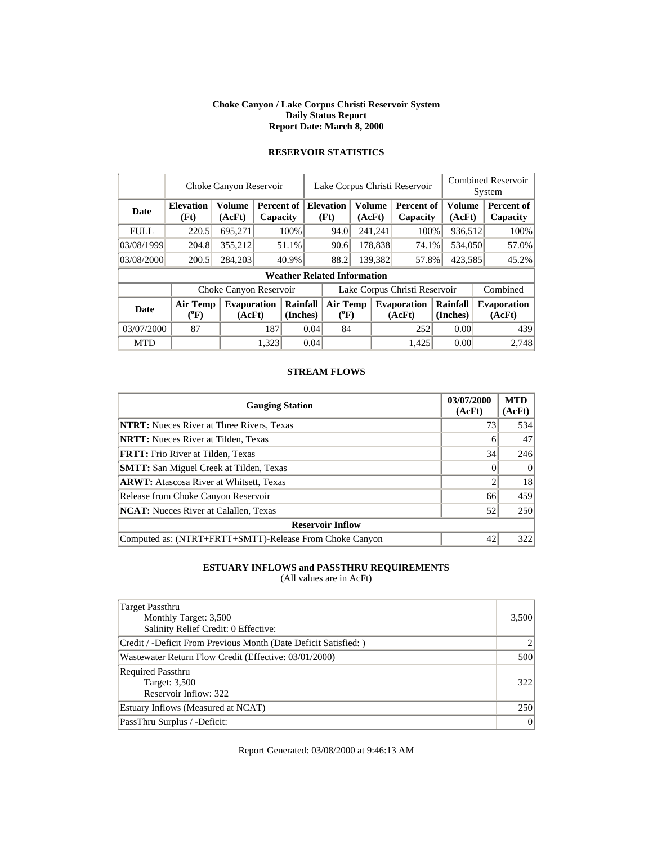### **Choke Canyon / Lake Corpus Christi Reservoir System Daily Status Report Report Date: March 8, 2000**

|             |                          | Choke Canyon Reservoir       |       |                        |                               | Lake Corpus Christi Reservoir      |                         |                  | <b>Combined Reservoir</b><br>System |         |                      |  |                              |  |       |
|-------------|--------------------------|------------------------------|-------|------------------------|-------------------------------|------------------------------------|-------------------------|------------------|-------------------------------------|---------|----------------------|--|------------------------------|--|-------|
| <b>Date</b> | <b>Elevation</b><br>(Ft) | <b>Volume</b><br>(AcFt)      |       | Percent of<br>Capacity |                               | <b>Elevation</b><br>(Ft)           | <b>Volume</b><br>(AcFt) |                  | <b>Percent of</b><br>Capacity       |         | Volume<br>(AcFt)     |  | Percent of<br>Capacity       |  |       |
| <b>FULL</b> | 220.5                    | 695,271                      |       | 100%                   |                               | 94.0                               |                         | 241,241          | 100%                                |         | 936,512              |  | 100%                         |  |       |
| 03/08/1999  | 204.8                    | 355,212                      |       | 51.1%                  |                               |                                    |                         | 90.6             |                                     | 178,838 | 74.1%                |  | 534,050                      |  | 57.0% |
| 03/08/2000  | 200.5                    | 284,203                      |       | 40.9%                  |                               | 88.2                               |                         | 139.382<br>57.8% |                                     | 423,585 |                      |  | 45.2%                        |  |       |
|             |                          |                              |       |                        |                               | <b>Weather Related Information</b> |                         |                  |                                     |         |                      |  |                              |  |       |
|             |                          | Choke Canyon Reservoir       |       |                        | Lake Corpus Christi Reservoir |                                    |                         |                  |                                     |         |                      |  | Combined                     |  |       |
| <b>Date</b> | <b>Air Temp</b><br>(°F)  | <b>Evaporation</b><br>(AcFt) |       | Rainfall<br>(Inches)   | <b>Air Temp</b><br>$(^{0}F)$  |                                    |                         |                  | <b>Evaporation</b><br>(AcFt)        |         | Rainfall<br>(Inches) |  | <b>Evaporation</b><br>(AcFt) |  |       |
| 03/07/2000  | 87                       |                              | 187   | 0.04                   |                               | 84                                 |                         | 252              |                                     | 0.00    |                      |  | 439                          |  |       |
| <b>MTD</b>  |                          |                              | 1.323 |                        | 0.04                          |                                    |                         |                  | 1.425                               |         | 0.00                 |  | 2.748                        |  |       |

# **RESERVOIR STATISTICS**

### **STREAM FLOWS**

| <b>Gauging Station</b>                                  | 03/07/2000<br>(AcFt) | <b>MTD</b><br>(AcFt) |
|---------------------------------------------------------|----------------------|----------------------|
| <b>NTRT:</b> Nueces River at Three Rivers, Texas        | 73                   | 534                  |
| <b>NRTT:</b> Nueces River at Tilden, Texas              | h                    | 47                   |
| <b>FRTT:</b> Frio River at Tilden, Texas                | 34                   | 246                  |
| <b>SMTT:</b> San Miguel Creek at Tilden, Texas          |                      | $\Omega$             |
| <b>ARWT:</b> Atascosa River at Whitsett, Texas          |                      | 18                   |
| Release from Choke Canyon Reservoir                     | 66                   | 459                  |
| <b>NCAT:</b> Nueces River at Calallen, Texas            | 52                   | 250                  |
| <b>Reservoir Inflow</b>                                 |                      |                      |
| Computed as: (NTRT+FRTT+SMTT)-Release From Choke Canyon | 42                   | 322                  |

## **ESTUARY INFLOWS and PASSTHRU REQUIREMENTS**

(All values are in AcFt)

| Target Passthru<br>Monthly Target: 3,500<br>Salinity Relief Credit: 0 Effective: | 3,500 |
|----------------------------------------------------------------------------------|-------|
| Credit / -Deficit From Previous Month (Date Deficit Satisfied: )                 |       |
| Wastewater Return Flow Credit (Effective: 03/01/2000)                            | 500   |
| <b>Required Passthru</b><br>Target: 3,500<br>Reservoir Inflow: 322               | 322   |
| Estuary Inflows (Measured at NCAT)                                               | 250   |
| PassThru Surplus / -Deficit:                                                     | 0     |

Report Generated: 03/08/2000 at 9:46:13 AM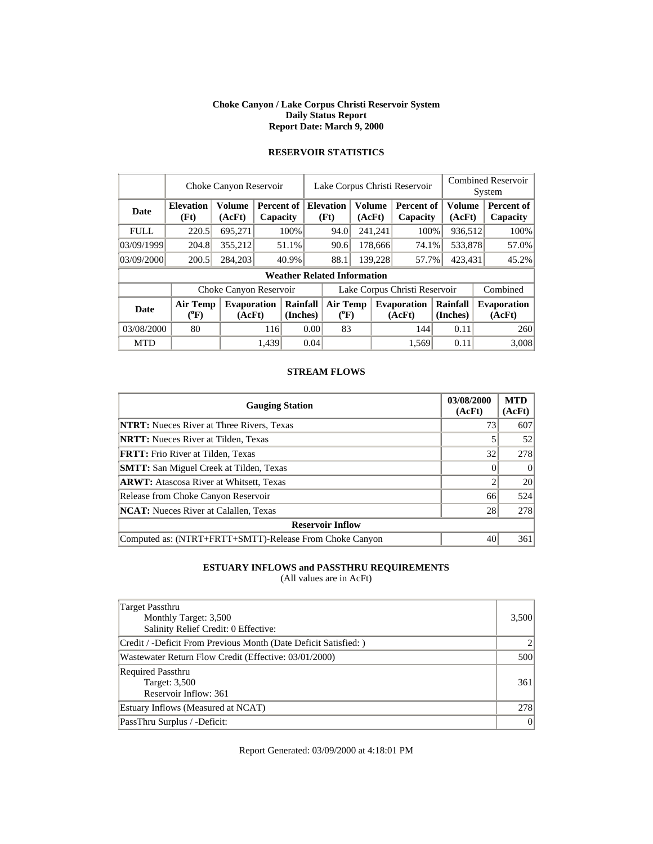#### **Choke Canyon / Lake Corpus Christi Reservoir System Daily Status Report Report Date: March 9, 2000**

|             |                          | Choke Canyon Reservoir       |                        |                      |                               | Lake Corpus Christi Reservoir      |        |               |                               | <b>Combined Reservoir</b><br>System |                  |                              |
|-------------|--------------------------|------------------------------|------------------------|----------------------|-------------------------------|------------------------------------|--------|---------------|-------------------------------|-------------------------------------|------------------|------------------------------|
| <b>Date</b> | <b>Elevation</b><br>(Ft) | Volume<br>(AcFt)             | Percent of<br>Capacity |                      |                               | <b>Elevation</b><br>(Ft)           | (AcFt) | <b>Volume</b> | <b>Percent of</b><br>Capacity |                                     | Volume<br>(AcFt) | Percent of<br>Capacity       |
| <b>FULL</b> | 220.5                    | 695.271                      |                        | 100%                 |                               | 94.0                               |        | 241.241       | 100%                          |                                     | 936.512          | 100%                         |
| 03/09/1999  | 204.8                    | 355,212                      |                        | 51.1%                |                               | 90.6<br>178,666<br>74.1%           |        |               | 533,878                       | 57.0%                               |                  |                              |
| 03/09/2000  | 200.5                    | 284,203                      |                        | 40.9%                |                               | 88.1<br>139,228                    |        |               | 57.7%                         | 423,431                             |                  | 45.2%                        |
|             |                          |                              |                        |                      |                               | <b>Weather Related Information</b> |        |               |                               |                                     |                  |                              |
|             |                          | Choke Canyon Reservoir       |                        |                      | Lake Corpus Christi Reservoir |                                    |        |               |                               |                                     |                  | Combined                     |
| <b>Date</b> | Air Temp<br>$(^{0}F)$    | <b>Evaporation</b><br>(AcFt) |                        | Rainfall<br>(Inches) |                               | <b>Air Temp</b><br>$(^{0}F)$       |        |               | <b>Evaporation</b><br>(AcFt)  | Rainfall<br>(Inches)                |                  | <b>Evaporation</b><br>(AcFt) |
| 03/08/2000  | 80                       |                              | 116                    | 0.00                 |                               | 83                                 |        |               | 144                           |                                     | 0.11             | 260                          |
| <b>MTD</b>  |                          |                              | 1.439                  |                      | 0.04                          |                                    |        |               | 1.569                         |                                     | 0.11             | 3.008                        |

# **RESERVOIR STATISTICS**

### **STREAM FLOWS**

| <b>Gauging Station</b>                                  | 03/08/2000<br>(AcFt) | <b>MTD</b><br>(AcFt) |
|---------------------------------------------------------|----------------------|----------------------|
| <b>NTRT:</b> Nueces River at Three Rivers, Texas        | 73                   | 607                  |
| <b>NRTT:</b> Nueces River at Tilden, Texas              |                      | 52                   |
| <b>FRTT:</b> Frio River at Tilden, Texas                | 32                   | 278                  |
| <b>SMTT:</b> San Miguel Creek at Tilden, Texas          |                      | $\Omega$             |
| <b>ARWT:</b> Atascosa River at Whitsett, Texas          |                      | 20                   |
| Release from Choke Canyon Reservoir                     | 66                   | 524                  |
| <b>NCAT:</b> Nueces River at Calallen, Texas            | 28                   | 278                  |
| <b>Reservoir Inflow</b>                                 |                      |                      |
| Computed as: (NTRT+FRTT+SMTT)-Release From Choke Canyon | 40                   | 361                  |

## **ESTUARY INFLOWS and PASSTHRU REQUIREMENTS**

(All values are in AcFt)

| Target Passthru<br>Monthly Target: 3,500<br>Salinity Relief Credit: 0 Effective: | 3,500 |
|----------------------------------------------------------------------------------|-------|
| Credit / -Deficit From Previous Month (Date Deficit Satisfied: )                 |       |
| Wastewater Return Flow Credit (Effective: 03/01/2000)                            | 500   |
| <b>Required Passthru</b><br>Target: 3,500<br>Reservoir Inflow: 361               | 361   |
| Estuary Inflows (Measured at NCAT)                                               | 278   |
| PassThru Surplus / -Deficit:                                                     | 0     |

Report Generated: 03/09/2000 at 4:18:01 PM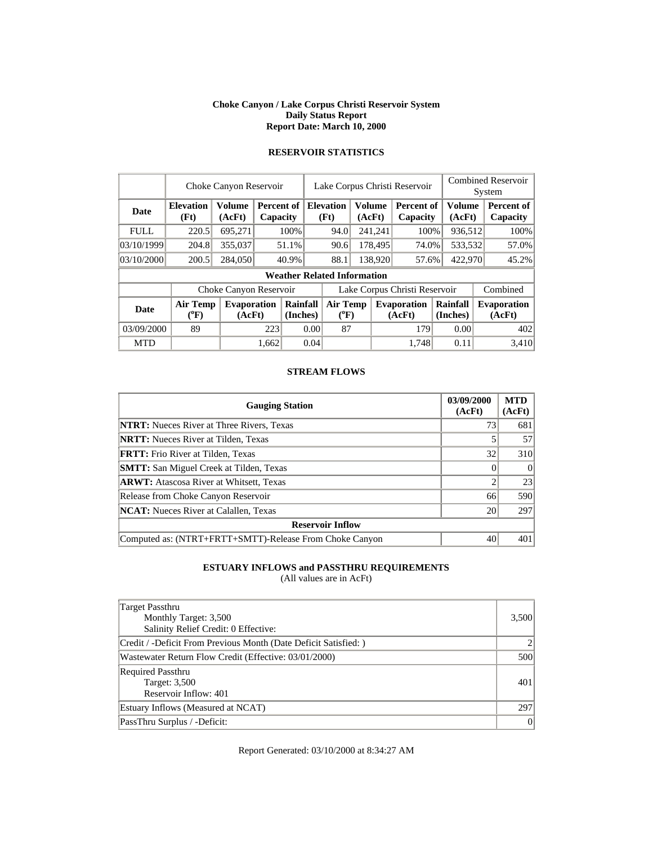#### **Choke Canyon / Lake Corpus Christi Reservoir System Daily Status Report Report Date: March 10, 2000**

|             |                          | Choke Canyon Reservoir       |                        |                                    |                               | Lake Corpus Christi Reservoir |                         |         |                               |         |                      | <b>Combined Reservoir</b><br>System |                              |
|-------------|--------------------------|------------------------------|------------------------|------------------------------------|-------------------------------|-------------------------------|-------------------------|---------|-------------------------------|---------|----------------------|-------------------------------------|------------------------------|
| Date        | <b>Elevation</b><br>(Ft) | <b>Volume</b><br>(AcFt)      | Percent of<br>Capacity |                                    |                               | <b>Elevation</b><br>(Ft)      | <b>Volume</b><br>(AcFt) |         | <b>Percent of</b><br>Capacity |         | Volume<br>(AcFt)     |                                     | Percent of<br>Capacity       |
| <b>FULL</b> | 220.5                    | 695,271                      |                        | 100%                               |                               | 94.0                          |                         | 241,241 | 100%                          |         | 936,512              |                                     | 100%                         |
| 03/10/1999  | 204.8                    | 355,037                      |                        | 51.1%                              |                               | 90.6                          | 178,495<br>74.0%        |         |                               | 533,532 |                      | 57.0%                               |                              |
| 03/10/2000  | 200.5                    | 284,050                      |                        | 40.9%                              |                               | 88.1<br>138,920               |                         | 57.6%   |                               | 422,970 |                      | 45.2%                               |                              |
|             |                          |                              |                        | <b>Weather Related Information</b> |                               |                               |                         |         |                               |         |                      |                                     |                              |
|             |                          | Choke Canyon Reservoir       |                        |                                    | Lake Corpus Christi Reservoir |                               |                         |         |                               |         |                      |                                     | Combined                     |
| <b>Date</b> | Air Temp<br>$(^oF)$      | <b>Evaporation</b><br>(AcFt) |                        | Rainfall<br>(Inches)               |                               | <b>Air Temp</b><br>$(^{0}F)$  |                         |         | <b>Evaporation</b><br>(AcFt)  |         | Rainfall<br>(Inches) |                                     | <b>Evaporation</b><br>(AcFt) |
| 03/09/2000  | 89                       |                              | 223                    | 0.00                               |                               | 87                            |                         |         | 179                           |         | 0.00                 |                                     | 402                          |
| <b>MTD</b>  |                          |                              | 1,662                  |                                    | 0.04                          |                               |                         |         | 1.748                         |         | 0.11                 |                                     | 3.410                        |

# **RESERVOIR STATISTICS**

### **STREAM FLOWS**

| <b>Gauging Station</b>                                  | 03/09/2000<br>(AcFt) | <b>MTD</b><br>(AcFt) |
|---------------------------------------------------------|----------------------|----------------------|
| <b>NTRT:</b> Nueces River at Three Rivers, Texas        | 73                   | 681                  |
| <b>NRTT:</b> Nueces River at Tilden, Texas              |                      | 57                   |
| <b>FRTT:</b> Frio River at Tilden, Texas                | 32                   | 310                  |
| <b>SMTT:</b> San Miguel Creek at Tilden, Texas          |                      | $\Omega$             |
| <b>ARWT:</b> Atascosa River at Whitsett, Texas          |                      | 23                   |
| Release from Choke Canyon Reservoir                     | 66                   | 590                  |
| <b>NCAT:</b> Nueces River at Calallen, Texas            | 20                   | 297                  |
| <b>Reservoir Inflow</b>                                 |                      |                      |
| Computed as: (NTRT+FRTT+SMTT)-Release From Choke Canyon | 40                   | 401                  |

## **ESTUARY INFLOWS and PASSTHRU REQUIREMENTS**

(All values are in AcFt)

| Target Passthru<br>Monthly Target: 3,500<br>Salinity Relief Credit: 0 Effective: | 3,500 |
|----------------------------------------------------------------------------------|-------|
| Credit / -Deficit From Previous Month (Date Deficit Satisfied: )                 |       |
| Wastewater Return Flow Credit (Effective: 03/01/2000)                            | 500   |
| <b>Required Passthru</b><br>Target: 3,500<br>Reservoir Inflow: 401               | 401   |
| Estuary Inflows (Measured at NCAT)                                               | 297   |
| PassThru Surplus / -Deficit:                                                     | 0     |

Report Generated: 03/10/2000 at 8:34:27 AM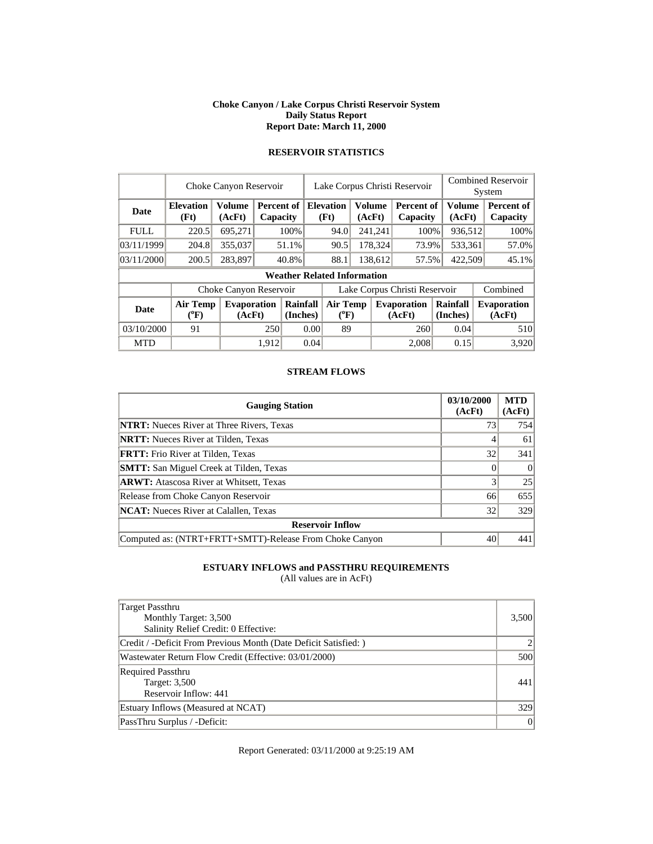#### **Choke Canyon / Lake Corpus Christi Reservoir System Daily Status Report Report Date: March 11, 2000**

|             |                            | Choke Canyon Reservoir       |       |                        |                               | Lake Corpus Christi Reservoir      |  |                          | <b>Combined Reservoir</b><br>System |                      |                        |  |                              |  |                        |
|-------------|----------------------------|------------------------------|-------|------------------------|-------------------------------|------------------------------------|--|--------------------------|-------------------------------------|----------------------|------------------------|--|------------------------------|--|------------------------|
| Date        | <b>Elevation</b><br>(Ft)   | Volume<br>(AcFt)             |       | Percent of<br>Capacity |                               |                                    |  | <b>Elevation</b><br>(Ft) | <b>Volume</b><br>(AcFt)             |                      | Percent of<br>Capacity |  | <b>Volume</b><br>(AcFt)      |  | Percent of<br>Capacity |
| <b>FULL</b> | 220.5                      | 695,271                      |       | 100%                   |                               | 94.0                               |  | 241,241                  | 100%                                |                      | 936,512                |  | 100%                         |  |                        |
| 03/11/1999  | 204.8                      | 355,037                      |       | 51.1%                  |                               |                                    |  | 90.5                     |                                     | 178,324              | 73.9%                  |  | 533,361                      |  | 57.0%                  |
| 03/11/2000  | 200.5                      | 283,897                      | 40.8% |                        |                               | 88.1                               |  | 138,612                  | 57.5%                               |                      | 422,509                |  | 45.1%                        |  |                        |
|             |                            |                              |       |                        |                               | <b>Weather Related Information</b> |  |                          |                                     |                      |                        |  |                              |  |                        |
|             |                            | Choke Canyon Reservoir       |       |                        | Lake Corpus Christi Reservoir |                                    |  |                          |                                     |                      |                        |  | Combined                     |  |                        |
| <b>Date</b> | <b>Air Temp</b><br>$(^oF)$ | <b>Evaporation</b><br>(AcFt) |       | Rainfall<br>(Inches)   |                               | Air Temp<br>$(^{0}F)$              |  |                          | <b>Evaporation</b><br>(AcFt)        | Rainfall<br>(Inches) |                        |  | <b>Evaporation</b><br>(AcFt) |  |                        |
| 03/10/2000  | 91                         |                              |       | 0.00<br>250            |                               | 89                                 |  |                          | 260                                 |                      | 0.04                   |  | 510                          |  |                        |
| <b>MTD</b>  |                            |                              | 1.912 |                        | 0.04                          |                                    |  |                          | 2.008                               |                      | 0.15                   |  | 3,920                        |  |                        |

# **RESERVOIR STATISTICS**

### **STREAM FLOWS**

| <b>Gauging Station</b>                                  | 03/10/2000<br>(AcFt) | <b>MTD</b><br>(AcFt) |
|---------------------------------------------------------|----------------------|----------------------|
| <b>NTRT:</b> Nueces River at Three Rivers, Texas        | 73                   | 754                  |
| <b>NRTT:</b> Nueces River at Tilden, Texas              |                      | 61                   |
| <b>FRTT:</b> Frio River at Tilden, Texas                | 32                   | 341                  |
| <b>SMTT:</b> San Miguel Creek at Tilden, Texas          |                      | $\Omega$             |
| <b>ARWT:</b> Atascosa River at Whitsett, Texas          |                      | 25                   |
| Release from Choke Canyon Reservoir                     | 66                   | 655                  |
| <b>NCAT:</b> Nueces River at Calallen, Texas            | 32                   | 329                  |
| <b>Reservoir Inflow</b>                                 |                      |                      |
| Computed as: (NTRT+FRTT+SMTT)-Release From Choke Canyon | 40                   | 441                  |

## **ESTUARY INFLOWS and PASSTHRU REQUIREMENTS**

(All values are in AcFt)

| Target Passthru<br>Monthly Target: 3,500<br>Salinity Relief Credit: 0 Effective: | 3,500 |
|----------------------------------------------------------------------------------|-------|
| Credit / -Deficit From Previous Month (Date Deficit Satisfied: )                 |       |
| Wastewater Return Flow Credit (Effective: 03/01/2000)                            | 500   |
| <b>Required Passthru</b><br>Target: 3,500<br>Reservoir Inflow: 441               | 441   |
| Estuary Inflows (Measured at NCAT)                                               | 329   |
| PassThru Surplus / -Deficit:                                                     | 0     |

Report Generated: 03/11/2000 at 9:25:19 AM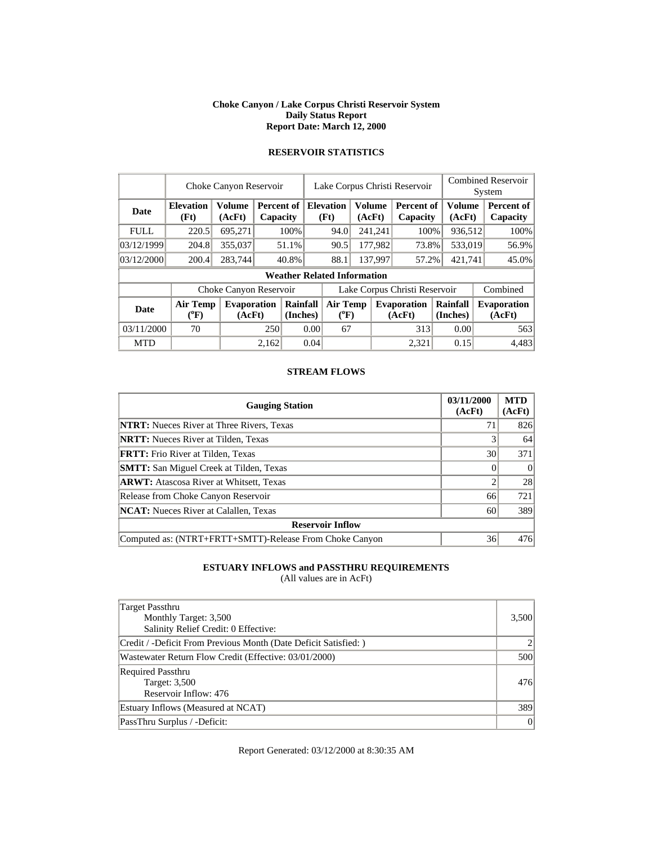#### **Choke Canyon / Lake Corpus Christi Reservoir System Daily Status Report Report Date: March 12, 2000**

|             |                          | Choke Canyon Reservoir       |                        |                      |      | Lake Corpus Christi Reservoir      |                         |         | <b>Combined Reservoir</b><br>System |                      |                              |
|-------------|--------------------------|------------------------------|------------------------|----------------------|------|------------------------------------|-------------------------|---------|-------------------------------------|----------------------|------------------------------|
| Date        | <b>Elevation</b><br>(Ft) | Volume<br>(AcFt)             | Percent of<br>Capacity |                      |      | <b>Elevation</b><br>(Ft)           | <b>Volume</b><br>(AcFt) |         | <b>Percent of</b><br>Capacity       | Volume<br>(AcFt)     | Percent of<br>Capacity       |
| <b>FULL</b> | 220.5                    | 695,271                      |                        | 100%                 |      | 94.0                               |                         | 241,241 | 100%                                | 936,512              | 100%                         |
| 03/12/1999  | 204.8                    | 355,037                      |                        | 51.1%                |      | 90.5                               |                         | 177,982 | 73.8%                               | 533,019              | 56.9%                        |
| 03/12/2000  | 200.4                    | 283,744                      |                        | 40.8%                |      | 88.1<br>137,997                    |                         | 57.2%   | 421,741                             | 45.0%                |                              |
|             |                          |                              |                        |                      |      | <b>Weather Related Information</b> |                         |         |                                     |                      |                              |
|             |                          | Choke Canyon Reservoir       |                        |                      |      |                                    |                         |         | Lake Corpus Christi Reservoir       | Combined             |                              |
| Date        | Air Temp<br>$(^oF)$      | <b>Evaporation</b><br>(AcFt) |                        | Rainfall<br>(Inches) |      | <b>Air Temp</b><br>$(^{0}F)$       |                         |         | <b>Evaporation</b><br>(AcFt)        | Rainfall<br>(Inches) | <b>Evaporation</b><br>(AcFt) |
| 03/11/2000  | 70                       |                              |                        | 0.00<br>250          |      | 67                                 |                         | 313     |                                     | 0.00                 | 563                          |
| <b>MTD</b>  |                          |                              | 2,162                  |                      | 0.04 |                                    |                         |         | 2,321                               | 0.15                 | 4.483                        |

# **RESERVOIR STATISTICS**

### **STREAM FLOWS**

| <b>Gauging Station</b>                                  | 03/11/2000<br>(AcFt) | <b>MTD</b><br>(AcFt) |
|---------------------------------------------------------|----------------------|----------------------|
| <b>NTRT:</b> Nueces River at Three Rivers, Texas        | 71                   | 826                  |
| <b>NRTT:</b> Nueces River at Tilden, Texas              |                      | 64                   |
| <b>FRTT:</b> Frio River at Tilden, Texas                | 30                   | 371                  |
| <b>SMTT:</b> San Miguel Creek at Tilden, Texas          |                      | $\Omega$             |
| <b>ARWT:</b> Atascosa River at Whitsett, Texas          |                      | 28                   |
| Release from Choke Canyon Reservoir                     | 66                   | 721                  |
| <b>NCAT:</b> Nueces River at Calallen, Texas            | 60                   | 389                  |
| <b>Reservoir Inflow</b>                                 |                      |                      |
| Computed as: (NTRT+FRTT+SMTT)-Release From Choke Canyon | 36                   | 476                  |

## **ESTUARY INFLOWS and PASSTHRU REQUIREMENTS**

(All values are in AcFt)

| Target Passthru<br>Monthly Target: 3,500<br>Salinity Relief Credit: 0 Effective: | 3,500 |
|----------------------------------------------------------------------------------|-------|
| Credit / -Deficit From Previous Month (Date Deficit Satisfied: )                 |       |
| Wastewater Return Flow Credit (Effective: 03/01/2000)                            | 500   |
| <b>Required Passthru</b><br>Target: 3,500<br>Reservoir Inflow: 476               | 476   |
| Estuary Inflows (Measured at NCAT)                                               | 389   |
| PassThru Surplus / -Deficit:                                                     | 0     |

Report Generated: 03/12/2000 at 8:30:35 AM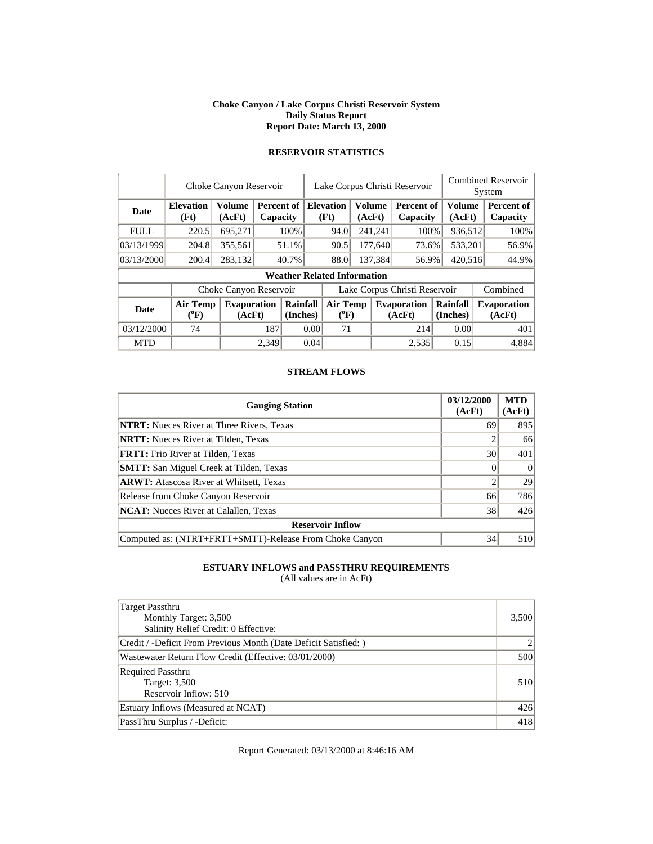#### **Choke Canyon / Lake Corpus Christi Reservoir System Daily Status Report Report Date: March 13, 2000**

|             |                            | Choke Canyon Reservoir       |       |                                    |                               |      |  |                          | Lake Corpus Christi Reservoir |                      | <b>Combined Reservoir</b><br>System |                              |                  |                        |
|-------------|----------------------------|------------------------------|-------|------------------------------------|-------------------------------|------|--|--------------------------|-------------------------------|----------------------|-------------------------------------|------------------------------|------------------|------------------------|
| Date        | <b>Elevation</b><br>(Ft)   | <b>Volume</b><br>(AcFt)      |       | Percent of<br>Capacity             |                               |      |  | <b>Elevation</b><br>(Ft) | Volume<br>(AcFt)              |                      | Percent of<br>Capacity              |                              | Volume<br>(AcFt) | Percent of<br>Capacity |
| <b>FULL</b> | 220.5                      | 695.271                      |       | 100%                               |                               | 94.0 |  | 241,241                  | 100%                          |                      | 936,512                             | 100%                         |                  |                        |
| 03/13/1999  | 204.8                      | 355,561                      |       | 51.1%                              |                               | 90.5 |  | 177,640                  | 73.6%                         |                      | 533,201                             | 56.9%                        |                  |                        |
| 03/13/2000  | 200.4                      | 283,132                      |       | 40.7%                              |                               | 88.0 |  | 137,384                  | 56.9%                         | 420,516              |                                     | 44.9%                        |                  |                        |
|             |                            |                              |       | <b>Weather Related Information</b> |                               |      |  |                          |                               |                      |                                     |                              |                  |                        |
|             |                            | Choke Canyon Reservoir       |       |                                    | Lake Corpus Christi Reservoir |      |  |                          |                               |                      |                                     | Combined                     |                  |                        |
| <b>Date</b> | <b>Air Temp</b><br>$(^oF)$ | <b>Evaporation</b><br>(AcFt) |       | Rainfall<br>(Inches)               | Air Temp<br>$(^{0}F)$         |      |  |                          | <b>Evaporation</b><br>(AcFt)  | Rainfall<br>(Inches) |                                     | <b>Evaporation</b><br>(AcFt) |                  |                        |
| 03/12/2000  | 74                         |                              | 187   |                                    | 0.00                          | 71   |  |                          | 214                           |                      | 0.00                                | 401                          |                  |                        |
| <b>MTD</b>  |                            |                              | 2.349 |                                    | 0.04                          |      |  |                          | 2,535                         |                      | 0.15                                | 4,884                        |                  |                        |

# **RESERVOIR STATISTICS**

### **STREAM FLOWS**

| <b>Gauging Station</b>                                  | 03/12/2000<br>(AcFt) | <b>MTD</b><br>(AcFt) |
|---------------------------------------------------------|----------------------|----------------------|
| <b>NTRT:</b> Nueces River at Three Rivers, Texas        | 69                   | 895                  |
| <b>NRTT:</b> Nueces River at Tilden, Texas              |                      | 66                   |
| <b>FRTT:</b> Frio River at Tilden, Texas                | 30                   | 401                  |
| <b>SMTT:</b> San Miguel Creek at Tilden, Texas          |                      | $\Omega$             |
| <b>ARWT:</b> Atascosa River at Whitsett, Texas          |                      | 29                   |
| Release from Choke Canyon Reservoir                     | 66                   | 786                  |
| <b>NCAT:</b> Nueces River at Calallen, Texas            | 38                   | 426                  |
| <b>Reservoir Inflow</b>                                 |                      |                      |
| Computed as: (NTRT+FRTT+SMTT)-Release From Choke Canyon | 34                   | 510                  |

## **ESTUARY INFLOWS and PASSTHRU REQUIREMENTS**

(All values are in AcFt)

| Target Passthru<br>Monthly Target: 3,500<br>Salinity Relief Credit: 0 Effective: | 3,500 |
|----------------------------------------------------------------------------------|-------|
| Credit / -Deficit From Previous Month (Date Deficit Satisfied: )                 |       |
| Wastewater Return Flow Credit (Effective: 03/01/2000)                            | 500   |
| <b>Required Passthru</b><br>Target: 3,500<br>Reservoir Inflow: 510               | 510   |
| Estuary Inflows (Measured at NCAT)                                               | 426   |
| PassThru Surplus / -Deficit:                                                     | 418   |

Report Generated: 03/13/2000 at 8:46:16 AM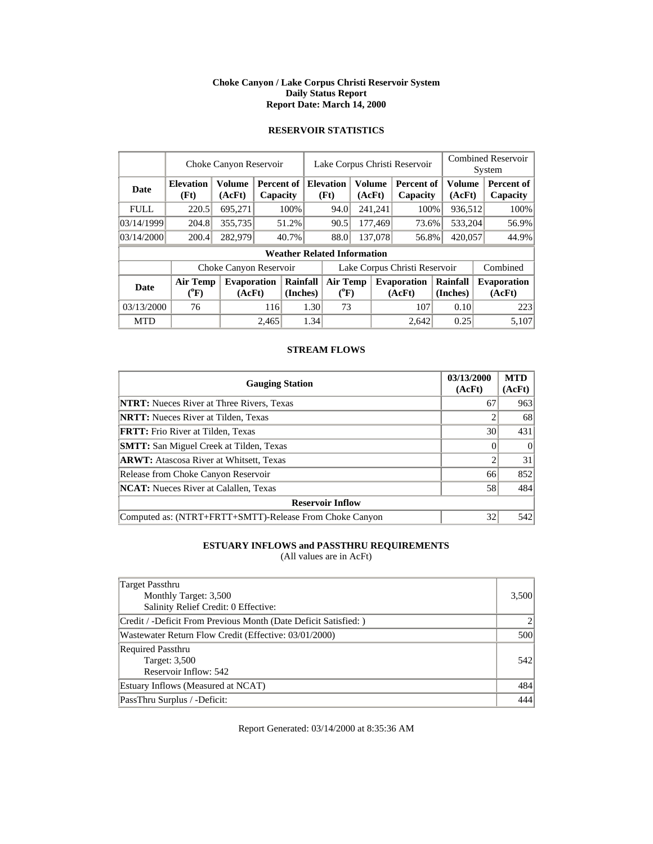### **Choke Canyon / Lake Corpus Christi Reservoir System Daily Status Report Report Date: March 14, 2000**

### **RESERVOIR STATISTICS**

|             |                                       | Choke Canyon Reservoir  |       |                                    |                               |      | Lake Corpus Christi Reservoir         |                          |                              |                         | <b>Combined Reservoir</b><br>System |  |                              |  |                        |
|-------------|---------------------------------------|-------------------------|-------|------------------------------------|-------------------------------|------|---------------------------------------|--------------------------|------------------------------|-------------------------|-------------------------------------|--|------------------------------|--|------------------------|
| <b>Date</b> | <b>Elevation</b><br>(Ft)              | <b>Volume</b><br>(AcFt) |       | Percent of I<br>Capacity           |                               |      |                                       | <b>Elevation</b><br>(Ft) |                              | <b>Volume</b><br>(AcFt) | Percent of<br>Capacity              |  | Volume<br>(AcFt)             |  | Percent of<br>Capacity |
| <b>FULL</b> | 220.5                                 | 695,271                 |       | 100%                               |                               | 94.0 |                                       | 241,241                  | 100%                         |                         | 936,512                             |  | 100%                         |  |                        |
| 03/14/1999  | 204.8                                 | 355,735                 |       | 51.2%                              |                               | 90.5 |                                       | 177,469                  | 73.6%                        |                         | 533,204                             |  | 56.9%                        |  |                        |
| 03/14/2000  | 200.4                                 | 282,979                 |       | 40.7%                              |                               | 88.0 |                                       | 137,078                  | 56.8%                        |                         | 420,057                             |  | 44.9%                        |  |                        |
|             |                                       |                         |       | <b>Weather Related Information</b> |                               |      |                                       |                          |                              |                         |                                     |  |                              |  |                        |
|             |                                       | Choke Canyon Reservoir  |       |                                    | Lake Corpus Christi Reservoir |      |                                       |                          |                              |                         |                                     |  | Combined                     |  |                        |
| <b>Date</b> | <b>Air Temp</b><br>$({}^0\mathrm{F})$ | Evaporation<br>(AcFt)   |       | Rainfall<br>(Inches)               |                               |      | <b>Air Temp</b><br>$({}^0\mathrm{F})$ |                          | <b>Evaporation</b><br>(AcFt) | Rainfall<br>(Inches)    |                                     |  | <b>Evaporation</b><br>(AcFt) |  |                        |
| 03/13/2000  | 76                                    |                         |       | 1.30<br>116                        |                               | 73   |                                       |                          | 107                          |                         | 0.10                                |  | 223                          |  |                        |
| <b>MTD</b>  |                                       |                         | 2.465 |                                    | 1.34                          |      |                                       |                          | 2.642                        |                         | 0.25                                |  | 5,107                        |  |                        |

### **STREAM FLOWS**

| <b>Gauging Station</b>                                  | 03/13/2000<br>(AcFt) | <b>MTD</b><br>(AcFt) |
|---------------------------------------------------------|----------------------|----------------------|
| <b>NTRT:</b> Nueces River at Three Rivers, Texas        | 67                   | 963                  |
| <b>NRTT:</b> Nueces River at Tilden, Texas              |                      | 68                   |
| <b>FRTT:</b> Frio River at Tilden, Texas                | 30                   | 431                  |
| <b>SMTT:</b> San Miguel Creek at Tilden, Texas          |                      | $\Omega$             |
| <b>ARWT:</b> Atascosa River at Whitsett, Texas          | ◠                    | 31                   |
| Release from Choke Canyon Reservoir                     | 66                   | 852                  |
| <b>NCAT:</b> Nueces River at Calallen, Texas            | 58                   | 484                  |
| <b>Reservoir Inflow</b>                                 |                      |                      |
| Computed as: (NTRT+FRTT+SMTT)-Release From Choke Canyon | 32                   | 542                  |

# **ESTUARY INFLOWS and PASSTHRU REQUIREMENTS**

(All values are in AcFt)

| Target Passthru<br>Monthly Target: 3,500<br>Salinity Relief Credit: 0 Effective: | 3,500 |
|----------------------------------------------------------------------------------|-------|
| Credit / -Deficit From Previous Month (Date Deficit Satisfied: )                 |       |
| Wastewater Return Flow Credit (Effective: 03/01/2000)                            | 500   |
| <b>Required Passthru</b><br>Target: 3,500<br>Reservoir Inflow: 542               | 542   |
| Estuary Inflows (Measured at NCAT)                                               | 484   |
| PassThru Surplus / -Deficit:                                                     | 444   |

Report Generated: 03/14/2000 at 8:35:36 AM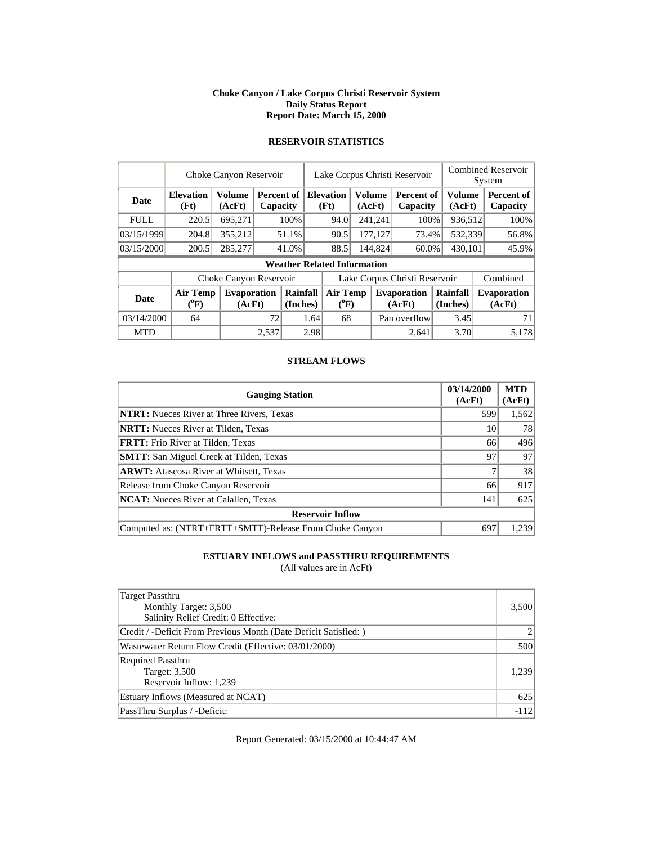### **Choke Canyon / Lake Corpus Christi Reservoir System Daily Status Report Report Date: March 15, 2000**

|             | Choke Canyon Reservoir         |                              | Lake Corpus Christi Reservoir |                      |                               |                                    | <b>Combined Reservoir</b><br>System |                  |                              |                      |                  |                               |
|-------------|--------------------------------|------------------------------|-------------------------------|----------------------|-------------------------------|------------------------------------|-------------------------------------|------------------|------------------------------|----------------------|------------------|-------------------------------|
| <b>Date</b> | <b>Elevation</b><br>(Ft)       | <b>Volume</b><br>(AcFt)      | Percent of<br>Capacity        |                      | <b>Elevation</b><br>(Ft)      |                                    |                                     | Volume<br>(AcFt) | Percent of<br>Capacity       |                      | Volume<br>(AcFt) | <b>Percent of</b><br>Capacity |
| <b>FULL</b> | 220.5                          | 695,271                      |                               | 100%                 |                               | 94.0                               |                                     | 241,241          | 100%                         | 936,512              |                  | 100%                          |
| 03/15/1999  | 204.8                          | 355,212                      |                               | 51.1%                |                               | 90.5                               |                                     | 177,127          | 73.4%                        | 532,339              |                  | 56.8%                         |
| 03/15/2000  | 200.5                          | 285,277                      | 41.0%                         |                      |                               | 88.5                               |                                     | 144,824<br>60.0% |                              | 430,101              |                  | 45.9%                         |
|             |                                |                              |                               |                      |                               | <b>Weather Related Information</b> |                                     |                  |                              |                      |                  |                               |
|             |                                | Choke Canyon Reservoir       |                               |                      | Lake Corpus Christi Reservoir |                                    |                                     |                  |                              |                      |                  | Combined                      |
| <b>Date</b> | Air Temp<br>$({}^0\mathrm{F})$ | <b>Evaporation</b><br>(AcFt) |                               | Rainfall<br>(Inches) | <b>Air Temp</b><br>$(^{0}F)$  |                                    |                                     |                  | <b>Evaporation</b><br>(AcFt) | Rainfall<br>(Inches) |                  | <b>Evaporation</b><br>(AcFt)  |
| 03/14/2000  | 64                             |                              | 72                            | 1.64                 |                               | 68                                 |                                     |                  | Pan overflow                 | 3.45                 |                  | 71                            |
| <b>MTD</b>  |                                |                              | 2.537                         |                      | 2.98                          |                                    |                                     |                  | 2.641                        | 3.70                 |                  | 5,178                         |

## **RESERVOIR STATISTICS**

### **STREAM FLOWS**

| <b>Gauging Station</b>                                  | 03/14/2000<br>(AcFt) | <b>MTD</b><br>(AcFt) |
|---------------------------------------------------------|----------------------|----------------------|
| <b>NTRT:</b> Nueces River at Three Rivers, Texas        | 599                  | 1,562                |
| <b>NRTT:</b> Nueces River at Tilden, Texas              | 10                   | 78                   |
| <b>FRTT:</b> Frio River at Tilden, Texas                | 66                   | 496                  |
| <b>SMTT:</b> San Miguel Creek at Tilden, Texas          | 97                   | 97                   |
| <b>ARWT:</b> Atascosa River at Whitsett, Texas          |                      | 38                   |
| Release from Choke Canyon Reservoir                     | 66                   | 917                  |
| <b>NCAT:</b> Nueces River at Calallen, Texas            | 141                  | 625                  |
| <b>Reservoir Inflow</b>                                 |                      |                      |
| Computed as: (NTRT+FRTT+SMTT)-Release From Choke Canyon | 697                  | 1.239                |

## **ESTUARY INFLOWS and PASSTHRU REQUIREMENTS**

(All values are in AcFt)

| Target Passthru                                                 |        |
|-----------------------------------------------------------------|--------|
| Monthly Target: 3,500                                           | 3,500  |
| Salinity Relief Credit: 0 Effective:                            |        |
| Credit / -Deficit From Previous Month (Date Deficit Satisfied:) |        |
| Wastewater Return Flow Credit (Effective: 03/01/2000)           | 500    |
| <b>Required Passthru</b>                                        |        |
| Target: 3,500                                                   | 1,239  |
| Reservoir Inflow: 1,239                                         |        |
| Estuary Inflows (Measured at NCAT)                              | 625    |
| PassThru Surplus / -Deficit:                                    | $-112$ |

Report Generated: 03/15/2000 at 10:44:47 AM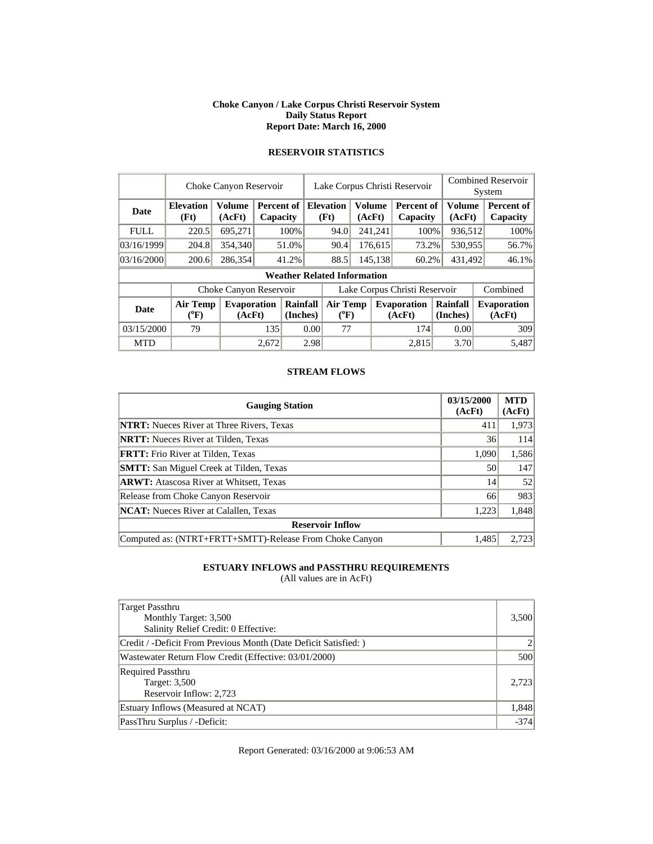#### **Choke Canyon / Lake Corpus Christi Reservoir System Daily Status Report Report Date: March 16, 2000**

|             |                          | Choke Canyon Reservoir       |       |                        |                                       |                                    |    |                          | Lake Corpus Christi Reservoir |                      | <b>Combined Reservoir</b><br>System |                              |  |                        |
|-------------|--------------------------|------------------------------|-------|------------------------|---------------------------------------|------------------------------------|----|--------------------------|-------------------------------|----------------------|-------------------------------------|------------------------------|--|------------------------|
| Date        | <b>Elevation</b><br>(Ft) | Volume<br>(AcFt)             |       | Percent of<br>Capacity |                                       |                                    |    | <b>Elevation</b><br>(Ft) | <b>Volume</b><br>(AcFt)       |                      | <b>Percent of</b><br>Capacity       | Volume<br>(AcFt)             |  | Percent of<br>Capacity |
| <b>FULL</b> | 220.5                    | 695,271                      |       | 100%                   |                                       | 94.0                               |    | 241,241                  | 100%                          | 936,512              |                                     | 100%                         |  |                        |
| 03/16/1999  | 204.8                    | 354,340                      |       | 51.0%                  |                                       | 90.4                               |    | 176,615                  | 73.2%                         | 530,955              |                                     | 56.7%                        |  |                        |
| 03/16/2000  | 200.6                    | 286,354                      |       | 41.2%                  |                                       | 88.5                               |    | 145,138                  | 60.2%                         | 431,492              |                                     | 46.1%                        |  |                        |
|             |                          |                              |       |                        |                                       | <b>Weather Related Information</b> |    |                          |                               |                      |                                     |                              |  |                        |
|             |                          | Choke Canyon Reservoir       |       |                        | Lake Corpus Christi Reservoir         |                                    |    |                          |                               |                      |                                     | Combined                     |  |                        |
| Date        | Air Temp<br>$(^oF)$      | <b>Evaporation</b><br>(AcFt) |       | Rainfall<br>(Inches)   | <b>Air Temp</b><br>$({}^0\mathrm{F})$ |                                    |    |                          | <b>Evaporation</b><br>(AcFt)  | Rainfall<br>(Inches) |                                     | <b>Evaporation</b><br>(AcFt) |  |                        |
| 03/15/2000  | 79                       |                              |       | 135<br>0.00            |                                       |                                    | 77 |                          | 174                           | 0.00                 |                                     | 309                          |  |                        |
| <b>MTD</b>  |                          |                              | 2,672 |                        | 2.98                                  |                                    |    |                          | 2,815                         | 3.70                 |                                     | 5.487                        |  |                        |

# **RESERVOIR STATISTICS**

### **STREAM FLOWS**

| <b>Gauging Station</b>                                  | 03/15/2000<br>(AcFt) | <b>MTD</b><br>(AcFt) |
|---------------------------------------------------------|----------------------|----------------------|
| <b>NTRT:</b> Nueces River at Three Rivers, Texas        | 411                  | 1,973                |
| <b>NRTT:</b> Nueces River at Tilden, Texas              | 36                   | 114                  |
| <b>FRTT:</b> Frio River at Tilden, Texas                | 1,090                | 1,586                |
| <b>SMTT:</b> San Miguel Creek at Tilden, Texas          | 50                   | 147                  |
| <b>ARWT:</b> Atascosa River at Whitsett, Texas          | 14                   | 52                   |
| Release from Choke Canyon Reservoir                     | 66                   | 983                  |
| <b>NCAT:</b> Nueces River at Calallen, Texas            | 1,223                | 1,848                |
| <b>Reservoir Inflow</b>                                 |                      |                      |
| Computed as: (NTRT+FRTT+SMTT)-Release From Choke Canyon | 1.485                | 2.723                |

## **ESTUARY INFLOWS and PASSTHRU REQUIREMENTS**

(All values are in AcFt)

| Target Passthru<br>Monthly Target: 3,500<br>Salinity Relief Credit: 0 Effective: | 3,500  |
|----------------------------------------------------------------------------------|--------|
| Credit / -Deficit From Previous Month (Date Deficit Satisfied:)                  |        |
| Wastewater Return Flow Credit (Effective: 03/01/2000)                            | 500    |
| <b>Required Passthru</b><br>Target: 3,500<br>Reservoir Inflow: 2,723             | 2.723  |
| Estuary Inflows (Measured at NCAT)                                               | 1,848  |
| PassThru Surplus / -Deficit:                                                     | $-374$ |

Report Generated: 03/16/2000 at 9:06:53 AM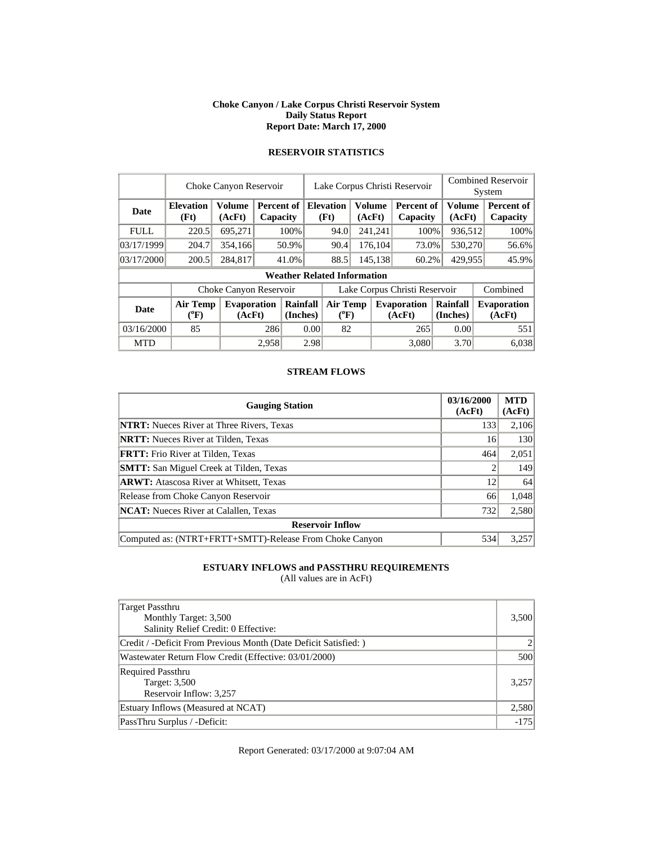#### **Choke Canyon / Lake Corpus Christi Reservoir System Daily Status Report Report Date: March 17, 2000**

|             |                          | Choke Canyon Reservoir       |                                   |                        |         | <b>Combined Reservoir</b><br>System |                         |                  |                               |                         |          |                              |
|-------------|--------------------------|------------------------------|-----------------------------------|------------------------|---------|-------------------------------------|-------------------------|------------------|-------------------------------|-------------------------|----------|------------------------------|
| Date        | <b>Elevation</b><br>(Ft) | Volume<br>(AcFt)             |                                   | Percent of<br>Capacity |         | <b>Elevation</b><br>(Ft)            | <b>Volume</b><br>(AcFt) |                  | <b>Percent of</b><br>Capacity | <b>Volume</b><br>(AcFt) |          | Percent of<br>Capacity       |
| <b>FULL</b> | 220.5                    | 695,271                      |                                   | 100%                   |         | 94.0                                |                         | 241,241          | 100%                          | 936,512                 |          | 100%                         |
| 03/17/1999  | 204.7                    | 354,166                      | 176,104<br>90.4<br>73.0%<br>50.9% |                        | 530,270 |                                     | 56.6%                   |                  |                               |                         |          |                              |
| 03/17/2000  | 200.5                    | 284,817                      |                                   | 41.0%                  |         | 88.5                                |                         | 145,138<br>60.2% |                               | 429,955                 |          | 45.9%                        |
|             |                          |                              |                                   |                        |         | <b>Weather Related Information</b>  |                         |                  |                               |                         |          |                              |
|             |                          | Choke Canyon Reservoir       |                                   |                        |         |                                     |                         |                  | Lake Corpus Christi Reservoir |                         | Combined |                              |
| Date        | Air Temp<br>$(^oF)$      | <b>Evaporation</b><br>(AcFt) |                                   | Rainfall<br>(Inches)   |         | <b>Air Temp</b><br>$(^{0}F)$        |                         |                  | <b>Evaporation</b><br>(AcFt)  | Rainfall<br>(Inches)    |          | <b>Evaporation</b><br>(AcFt) |
| 03/16/2000  | 85                       |                              |                                   | 286<br>0.00            |         | 82                                  |                         |                  | 265                           | 0.00                    |          | 551                          |
| <b>MTD</b>  |                          |                              | 2.958                             |                        | 2.98    |                                     |                         |                  | 3.080                         | 3.70                    |          | 6.038                        |

# **RESERVOIR STATISTICS**

### **STREAM FLOWS**

| <b>Gauging Station</b>                                  | 03/16/2000<br>(AcFt) | <b>MTD</b><br>(AcFt) |
|---------------------------------------------------------|----------------------|----------------------|
| <b>NTRT:</b> Nueces River at Three Rivers, Texas        | 133                  | 2,106                |
| <b>NRTT:</b> Nueces River at Tilden, Texas              | 16                   | 130                  |
| <b>FRTT:</b> Frio River at Tilden, Texas                | 464                  | 2,051                |
| <b>SMTT:</b> San Miguel Creek at Tilden, Texas          |                      | 149                  |
| <b>ARWT:</b> Atascosa River at Whitsett, Texas          | 12                   | 64                   |
| Release from Choke Canyon Reservoir                     | 66                   | 1,048                |
| <b>NCAT:</b> Nueces River at Calallen, Texas            | 732                  | 2,580                |
| <b>Reservoir Inflow</b>                                 |                      |                      |
| Computed as: (NTRT+FRTT+SMTT)-Release From Choke Canyon | 534                  | 3,257                |

## **ESTUARY INFLOWS and PASSTHRU REQUIREMENTS**

(All values are in AcFt)

| Target Passthru<br>Monthly Target: 3,500<br>Salinity Relief Credit: 0 Effective: | 3,500  |
|----------------------------------------------------------------------------------|--------|
| Credit / -Deficit From Previous Month (Date Deficit Satisfied: )                 |        |
| Wastewater Return Flow Credit (Effective: 03/01/2000)                            | 500    |
| <b>Required Passthru</b><br>Target: 3,500<br>Reservoir Inflow: 3,257             | 3,257  |
| Estuary Inflows (Measured at NCAT)                                               | 2,580  |
| PassThru Surplus / -Deficit:                                                     | $-175$ |

Report Generated: 03/17/2000 at 9:07:04 AM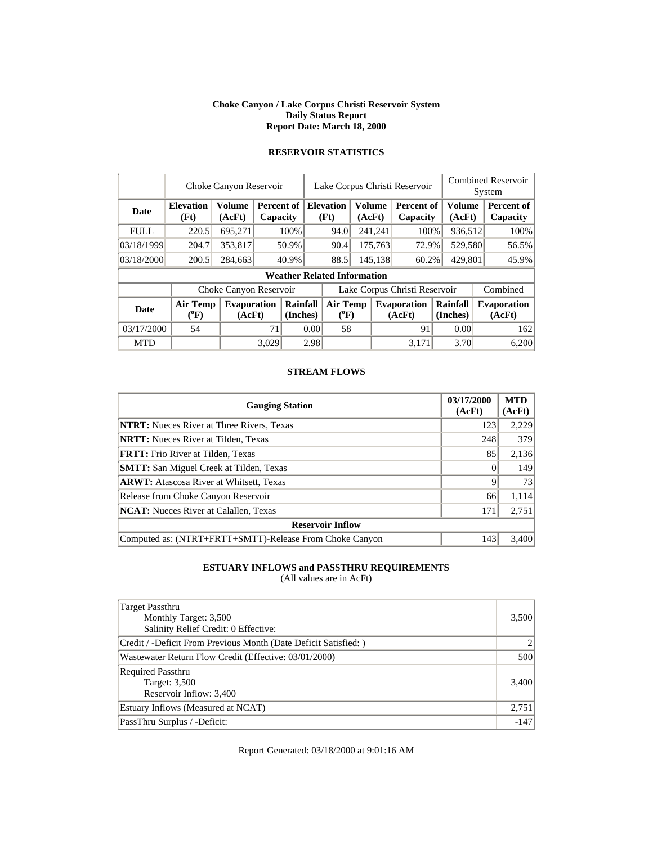#### **Choke Canyon / Lake Corpus Christi Reservoir System Daily Status Report Report Date: March 18, 2000**

|             |                          | Choke Canyon Reservoir       |       |                                    |                               | Lake Corpus Christi Reservoir         |  |                          |                              | <b>Combined Reservoir</b><br>System |                               |                              |                         |                        |
|-------------|--------------------------|------------------------------|-------|------------------------------------|-------------------------------|---------------------------------------|--|--------------------------|------------------------------|-------------------------------------|-------------------------------|------------------------------|-------------------------|------------------------|
| Date        | <b>Elevation</b><br>(Ft) | Volume<br>(AcFt)             |       | Capacity                           |                               | Percent of                            |  | <b>Elevation</b><br>(Ft) | <b>Volume</b><br>(AcFt)      |                                     | <b>Percent of</b><br>Capacity |                              | <b>Volume</b><br>(AcFt) | Percent of<br>Capacity |
| <b>FULL</b> | 220.5                    | 695,271                      |       | 100%                               |                               | 94.0                                  |  | 241,241                  | 100%                         |                                     | 936,512                       | 100%                         |                         |                        |
| 03/18/1999  | 204.7                    | 353,817                      | 50.9% |                                    |                               | 90.4                                  |  | 175,763                  | 72.9%                        |                                     | 529,580                       | 56.5%                        |                         |                        |
| 03/18/2000  | 200.5                    | 284,663                      |       | 40.9%                              |                               | 88.5<br>145,138                       |  | 60.2%                    | 429,801                      |                                     | 45.9%                         |                              |                         |                        |
|             |                          |                              |       | <b>Weather Related Information</b> |                               |                                       |  |                          |                              |                                     |                               |                              |                         |                        |
|             |                          | Choke Canyon Reservoir       |       |                                    | Lake Corpus Christi Reservoir |                                       |  |                          |                              |                                     | Combined                      |                              |                         |                        |
| Date        | Air Temp<br>$(^oF)$      | <b>Evaporation</b><br>(AcFt) |       | Rainfall<br>(Inches)               |                               | <b>Air Temp</b><br>$({}^0\mathrm{F})$ |  |                          | <b>Evaporation</b><br>(AcFt) | Rainfall<br>(Inches)                |                               | <b>Evaporation</b><br>(AcFt) |                         |                        |
| 03/17/2000  | 54                       |                              | 71    | 0.00                               |                               | 58                                    |  |                          | 91                           |                                     | 0.00                          | 162                          |                         |                        |
| <b>MTD</b>  |                          |                              | 3.029 |                                    | 2.98                          |                                       |  |                          | 3.171                        |                                     | 3.70                          | 6,200                        |                         |                        |

# **RESERVOIR STATISTICS**

### **STREAM FLOWS**

| <b>Gauging Station</b>                                  | 03/17/2000<br>(AcFt) | <b>MTD</b><br>(AcFt) |
|---------------------------------------------------------|----------------------|----------------------|
| <b>NTRT:</b> Nueces River at Three Rivers, Texas        | 123                  | 2,229                |
| <b>NRTT:</b> Nueces River at Tilden, Texas              | 248                  | 379                  |
| <b>FRTT:</b> Frio River at Tilden, Texas                | 85                   | 2,136                |
| <b>SMTT:</b> San Miguel Creek at Tilden, Texas          |                      | 149                  |
| <b>ARWT:</b> Atascosa River at Whitsett, Texas          | 9                    | 73                   |
| Release from Choke Canyon Reservoir                     | 66                   | 1,114                |
| <b>NCAT:</b> Nueces River at Calallen, Texas            | 171                  | 2,751                |
| <b>Reservoir Inflow</b>                                 |                      |                      |
| Computed as: (NTRT+FRTT+SMTT)-Release From Choke Canyon | 143                  | 3,400                |

## **ESTUARY INFLOWS and PASSTHRU REQUIREMENTS**

(All values are in AcFt)

| Target Passthru<br>Monthly Target: 3,500<br>Salinity Relief Credit: 0 Effective: | 3,500  |
|----------------------------------------------------------------------------------|--------|
| Credit / -Deficit From Previous Month (Date Deficit Satisfied:)                  |        |
| Wastewater Return Flow Credit (Effective: 03/01/2000)                            | 500    |
| <b>Required Passthru</b><br>Target: 3,500<br>Reservoir Inflow: 3,400             | 3,400  |
| Estuary Inflows (Measured at NCAT)                                               | 2,751  |
| PassThru Surplus / -Deficit:                                                     | $-147$ |

Report Generated: 03/18/2000 at 9:01:16 AM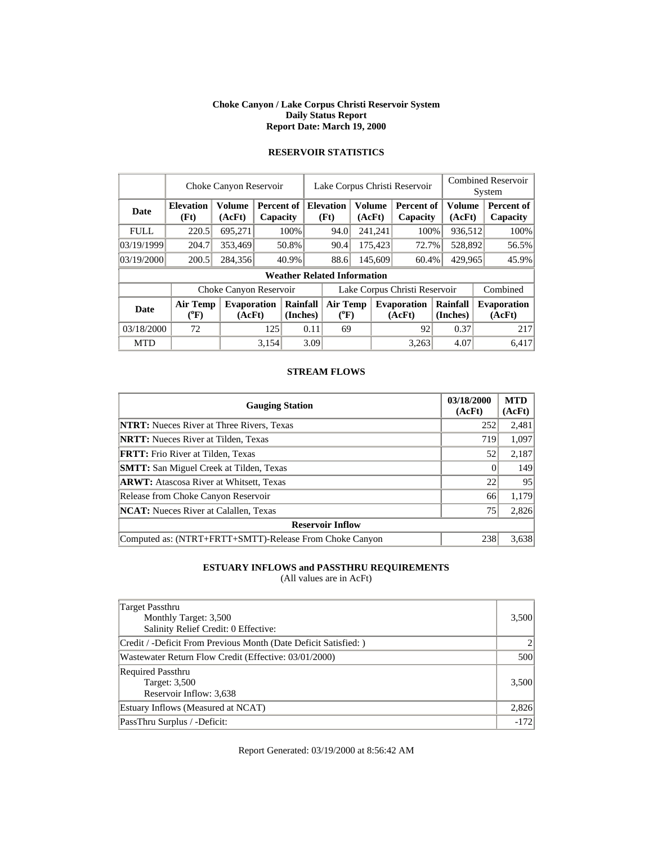#### **Choke Canyon / Lake Corpus Christi Reservoir System Daily Status Report Report Date: March 19, 2000**

|             |                          | Choke Canyon Reservoir  |       |                        |                               |                                    |  |                          | Lake Corpus Christi Reservoir |        | <b>Combined Reservoir</b><br>System |          |                              |  |                        |
|-------------|--------------------------|-------------------------|-------|------------------------|-------------------------------|------------------------------------|--|--------------------------|-------------------------------|--------|-------------------------------------|----------|------------------------------|--|------------------------|
| Date        | <b>Elevation</b><br>(Ft) | <b>Volume</b><br>(AcFt) |       | Percent of<br>Capacity |                               |                                    |  | <b>Elevation</b><br>(Ft) | <b>Volume</b>                 | (AcFt) | <b>Percent of</b><br>Capacity       |          | Volume<br>(AcFt)             |  | Percent of<br>Capacity |
| <b>FULL</b> | 220.5                    | 695.271                 |       | 100%                   |                               | 94.0                               |  | 241,241                  | 100%                          |        | 936,512                             |          | 100%                         |  |                        |
| 03/19/1999  | 204.7                    | 353,469                 | 50.8% |                        |                               | 90.4                               |  | 175,423                  | 72.7%                         |        | 528,892                             |          | 56.5%                        |  |                        |
| 03/19/2000  | 200.5                    | 284,356                 |       | 40.9%                  |                               | 88.6                               |  | 145,609                  | 60.4%                         |        | 429,965                             |          | 45.9%                        |  |                        |
|             |                          |                         |       |                        |                               | <b>Weather Related Information</b> |  |                          |                               |        |                                     |          |                              |  |                        |
|             |                          | Choke Canyon Reservoir  |       |                        | Lake Corpus Christi Reservoir |                                    |  |                          |                               |        |                                     | Combined |                              |  |                        |
| <b>Date</b> | Air Temp<br>$(^{0}F)$    | Evaporation<br>(AcFt)   |       | Rainfall<br>(Inches)   | <b>Air Temp</b><br>$(^{0}F)$  |                                    |  |                          | <b>Evaporation</b><br>(AcFt)  |        | Rainfall<br>(Inches)                |          | <b>Evaporation</b><br>(AcFt) |  |                        |
| 03/18/2000  | 72                       |                         | 125   | 0.11                   |                               | 69                                 |  |                          | 92                            |        | 0.37                                |          | 217                          |  |                        |
| <b>MTD</b>  |                          |                         | 3.154 |                        | 3.09                          |                                    |  |                          | 3,263                         |        | 4.07                                |          | 6.417                        |  |                        |

# **RESERVOIR STATISTICS**

### **STREAM FLOWS**

| <b>Gauging Station</b>                                  | 03/18/2000<br>(AcFt) | <b>MTD</b><br>(AcFt) |
|---------------------------------------------------------|----------------------|----------------------|
| <b>NTRT:</b> Nueces River at Three Rivers, Texas        | 252                  | 2,481                |
| <b>NRTT:</b> Nueces River at Tilden, Texas              | 719                  | 1,097                |
| <b>FRTT:</b> Frio River at Tilden, Texas                | 52                   | 2,187                |
| <b>SMTT:</b> San Miguel Creek at Tilden, Texas          |                      | 149                  |
| <b>ARWT:</b> Atascosa River at Whitsett, Texas          | 22                   | 95                   |
| Release from Choke Canyon Reservoir                     | 66                   | 1,179                |
| <b>NCAT:</b> Nueces River at Calallen, Texas            | 75                   | 2,826                |
| <b>Reservoir Inflow</b>                                 |                      |                      |
| Computed as: (NTRT+FRTT+SMTT)-Release From Choke Canyon | 238                  | 3,638                |

## **ESTUARY INFLOWS and PASSTHRU REQUIREMENTS**

(All values are in AcFt)

| Target Passthru<br>Monthly Target: 3,500<br>Salinity Relief Credit: 0 Effective: | 3,500  |
|----------------------------------------------------------------------------------|--------|
| Credit / -Deficit From Previous Month (Date Deficit Satisfied: )                 |        |
| Wastewater Return Flow Credit (Effective: 03/01/2000)                            | 500    |
| <b>Required Passthru</b><br>Target: 3,500<br>Reservoir Inflow: 3,638             | 3,500  |
| Estuary Inflows (Measured at NCAT)                                               | 2,826  |
| PassThru Surplus / -Deficit:                                                     | $-172$ |

Report Generated: 03/19/2000 at 8:56:42 AM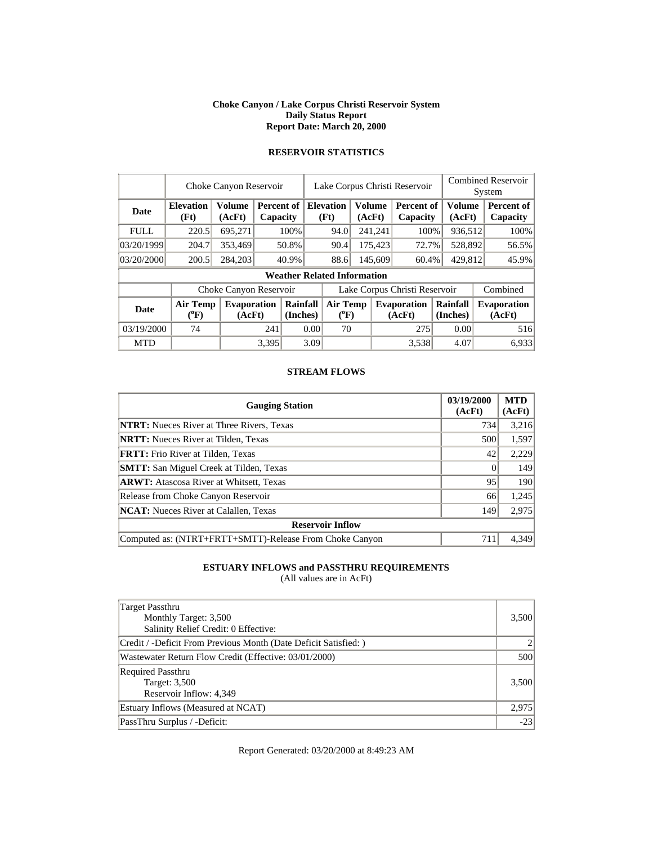#### **Choke Canyon / Lake Corpus Christi Reservoir System Daily Status Report Report Date: March 20, 2000**

|             |                          | Choke Canyon Reservoir       |       |                        |                               | Lake Corpus Christi Reservoir         |  |                          |                              | <b>Combined Reservoir</b><br>System                      |         |  |                              |  |                        |
|-------------|--------------------------|------------------------------|-------|------------------------|-------------------------------|---------------------------------------|--|--------------------------|------------------------------|----------------------------------------------------------|---------|--|------------------------------|--|------------------------|
| Date        | <b>Elevation</b><br>(Ft) | Volume<br>(AcFt)             |       | Percent of<br>Capacity |                               |                                       |  | <b>Elevation</b><br>(Ft) |                              | <b>Volume</b><br><b>Percent of</b><br>(AcFt)<br>Capacity |         |  | <b>Volume</b><br>(AcFt)      |  | Percent of<br>Capacity |
| <b>FULL</b> | 220.5                    | 695,271                      |       | 100%                   |                               | 94.0                                  |  | 241,241                  | 100%                         |                                                          | 936,512 |  | 100%                         |  |                        |
| 03/20/1999  | 204.7                    | 353,469                      | 50.8% |                        |                               | 90.4                                  |  | 175,423                  | 72.7%                        |                                                          | 528,892 |  | 56.5%                        |  |                        |
| 03/20/2000  | 200.5                    | 284,203                      |       | 40.9%                  |                               | 88.6                                  |  | 145,609                  | 60.4%                        |                                                          | 429,812 |  | 45.9%                        |  |                        |
|             |                          |                              |       |                        |                               | <b>Weather Related Information</b>    |  |                          |                              |                                                          |         |  |                              |  |                        |
|             |                          | Choke Canyon Reservoir       |       |                        | Lake Corpus Christi Reservoir |                                       |  |                          |                              |                                                          |         |  | Combined                     |  |                        |
| Date        | Air Temp<br>$(^oF)$      | <b>Evaporation</b><br>(AcFt) |       | Rainfall<br>(Inches)   |                               | <b>Air Temp</b><br>$({}^0\mathrm{F})$ |  |                          | <b>Evaporation</b><br>(AcFt) | Rainfall<br>(Inches)                                     |         |  | <b>Evaporation</b><br>(AcFt) |  |                        |
| 03/19/2000  | 74                       |                              | 241   | 0.00                   |                               | 70                                    |  |                          | 275                          |                                                          | 0.00    |  | 516                          |  |                        |
| <b>MTD</b>  |                          |                              | 3,395 |                        | 3.09                          |                                       |  |                          | 3,538                        |                                                          | 4.07    |  | 6,933                        |  |                        |

# **RESERVOIR STATISTICS**

### **STREAM FLOWS**

| <b>Gauging Station</b>                                  | 03/19/2000<br>(AcFt) | <b>MTD</b><br>(AcFt) |
|---------------------------------------------------------|----------------------|----------------------|
| <b>NTRT:</b> Nueces River at Three Rivers, Texas        | 734                  | 3,216                |
| <b>NRTT:</b> Nueces River at Tilden, Texas              | 500                  | 1,597                |
| <b>FRTT:</b> Frio River at Tilden, Texas                | 42                   | 2,229                |
| <b>SMTT:</b> San Miguel Creek at Tilden, Texas          |                      | 149                  |
| <b>ARWT:</b> Atascosa River at Whitsett, Texas          | 95                   | 190                  |
| Release from Choke Canyon Reservoir                     | 66                   | 1,245                |
| <b>NCAT:</b> Nueces River at Calallen, Texas            | 149                  | 2,975                |
| <b>Reservoir Inflow</b>                                 |                      |                      |
| Computed as: (NTRT+FRTT+SMTT)-Release From Choke Canyon | 711                  | 4,349                |

## **ESTUARY INFLOWS and PASSTHRU REQUIREMENTS**

(All values are in AcFt)

| <b>Target Passthru</b><br>Monthly Target: 3,500<br>Salinity Relief Credit: 0 Effective: | 3,500 |
|-----------------------------------------------------------------------------------------|-------|
| Credit / -Deficit From Previous Month (Date Deficit Satisfied:)                         |       |
| Wastewater Return Flow Credit (Effective: 03/01/2000)                                   | 500   |
| <b>Required Passthru</b><br>Target: 3,500<br>Reservoir Inflow: 4,349                    | 3,500 |
| Estuary Inflows (Measured at NCAT)                                                      | 2,975 |
| PassThru Surplus / -Deficit:                                                            | $-23$ |

Report Generated: 03/20/2000 at 8:49:23 AM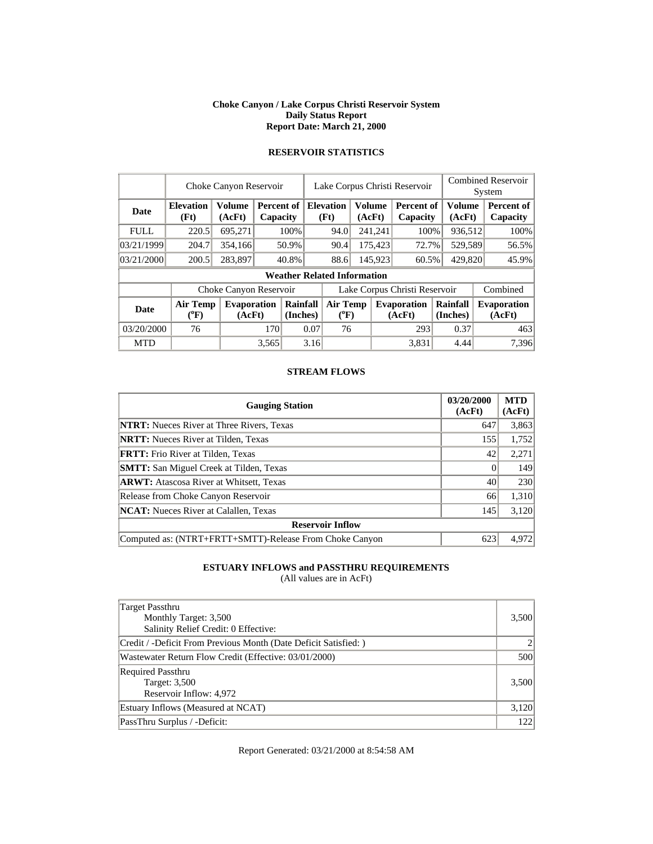#### **Choke Canyon / Lake Corpus Christi Reservoir System Daily Status Report Report Date: March 21, 2000**

|             |                          | Lake Corpus Christi Reservoir<br>Choke Canyon Reservoir |                        |                      |                               |                                       |                         |         |                               |  |                         | <b>Combined Reservoir</b><br>System |                              |  |
|-------------|--------------------------|---------------------------------------------------------|------------------------|----------------------|-------------------------------|---------------------------------------|-------------------------|---------|-------------------------------|--|-------------------------|-------------------------------------|------------------------------|--|
| Date        | <b>Elevation</b><br>(Ft) | Volume<br>(AcFt)                                        | Percent of<br>Capacity |                      |                               | <b>Elevation</b><br>(Ft)              | <b>Volume</b><br>(AcFt) |         | <b>Percent of</b><br>Capacity |  | <b>Volume</b><br>(AcFt) |                                     | Percent of<br>Capacity       |  |
| <b>FULL</b> | 220.5                    | 695,271                                                 |                        | 100%                 |                               | 94.0                                  |                         | 241,241 | 100%                          |  | 936,512                 |                                     | 100%                         |  |
| 03/21/1999  | 204.7                    | 354,166                                                 |                        | 50.9%                |                               | 90.4                                  |                         | 175,423 | 72.7%                         |  | 529,589                 |                                     | 56.5%                        |  |
| 03/21/2000  | 200.5                    | 283,897                                                 |                        | 40.8%                |                               | 88.6                                  |                         | 145,923 | 60.5%                         |  | 429,820                 |                                     | 45.9%                        |  |
|             |                          |                                                         |                        |                      |                               | <b>Weather Related Information</b>    |                         |         |                               |  |                         |                                     |                              |  |
|             |                          | Choke Canyon Reservoir                                  |                        |                      | Lake Corpus Christi Reservoir |                                       |                         |         |                               |  | Combined                |                                     |                              |  |
| Date        | Air Temp<br>$(^oF)$      | <b>Evaporation</b><br>(AcFt)                            |                        | Rainfall<br>(Inches) |                               | <b>Air Temp</b><br>$({}^0\mathrm{F})$ |                         |         | <b>Evaporation</b><br>(AcFt)  |  | Rainfall<br>(Inches)    |                                     | <b>Evaporation</b><br>(AcFt) |  |
| 03/20/2000  | 76                       |                                                         |                        | 0.07<br>170          |                               | 76                                    |                         |         | 293                           |  | 0.37                    |                                     | 463                          |  |
| <b>MTD</b>  |                          |                                                         | 3,565                  |                      | 3.16                          |                                       |                         |         | 3,831                         |  | 4.44                    |                                     | 7,396                        |  |

# **RESERVOIR STATISTICS**

### **STREAM FLOWS**

| <b>Gauging Station</b>                                  | 03/20/2000<br>(AcFt) | <b>MTD</b><br>(AcFt) |
|---------------------------------------------------------|----------------------|----------------------|
| <b>NTRT:</b> Nueces River at Three Rivers, Texas        | 647                  | 3,863                |
| <b>NRTT:</b> Nueces River at Tilden, Texas              | 155                  | 1,752                |
| FRTT: Frio River at Tilden, Texas                       | 42                   | 2,271                |
| <b>SMTT:</b> San Miguel Creek at Tilden, Texas          |                      | 149                  |
| <b>ARWT:</b> Atascosa River at Whitsett, Texas          | 40                   | 230                  |
| Release from Choke Canyon Reservoir                     | 66                   | 1,310                |
| <b>NCAT:</b> Nueces River at Calallen, Texas            | 145                  | 3,120                |
| <b>Reservoir Inflow</b>                                 |                      |                      |
| Computed as: (NTRT+FRTT+SMTT)-Release From Choke Canyon | 623                  | 4.972                |

## **ESTUARY INFLOWS and PASSTHRU REQUIREMENTS**

(All values are in AcFt)

| Target Passthru<br>Monthly Target: 3,500<br>Salinity Relief Credit: 0 Effective: | 3,500 |
|----------------------------------------------------------------------------------|-------|
| Credit / -Deficit From Previous Month (Date Deficit Satisfied: )                 |       |
| Wastewater Return Flow Credit (Effective: 03/01/2000)                            | 500   |
| <b>Required Passthru</b><br>Target: 3,500<br>Reservoir Inflow: 4,972             | 3,500 |
| Estuary Inflows (Measured at NCAT)                                               | 3,120 |
| PassThru Surplus / -Deficit:                                                     | 122   |

Report Generated: 03/21/2000 at 8:54:58 AM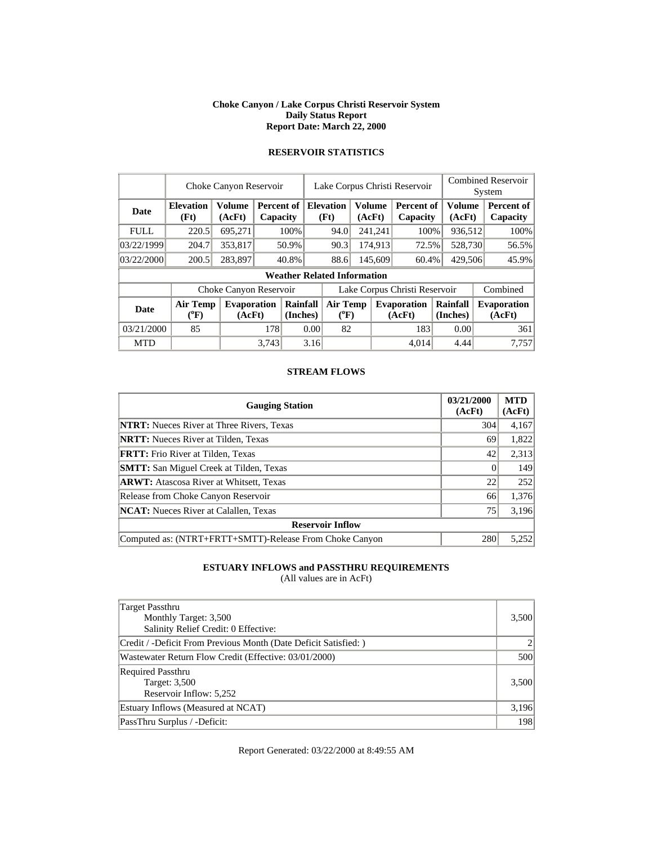#### **Choke Canyon / Lake Corpus Christi Reservoir System Daily Status Report Report Date: March 22, 2000**

|             |                          | Choke Canyon Reservoir  |       |                                    |                                       |                  |  | Lake Corpus Christi Reservoir |                              |                      | <b>Combined Reservoir</b><br>System |                              |  |                        |
|-------------|--------------------------|-------------------------|-------|------------------------------------|---------------------------------------|------------------|--|-------------------------------|------------------------------|----------------------|-------------------------------------|------------------------------|--|------------------------|
| Date        | <b>Elevation</b><br>(Ft) | <b>Volume</b><br>(AcFt) |       | Percent of<br>Capacity             |                                       | <b>Elevation</b> |  | (Ft)                          | <b>Volume</b><br>(AcFt)      |                      | <b>Percent of</b><br>Capacity       | Volume<br>(AcFt)             |  | Percent of<br>Capacity |
| <b>FULL</b> | 220.5                    | 695.271                 |       | 100%                               |                                       | 94.0             |  | 241,241                       | 100%                         | 936,512              |                                     | 100%                         |  |                        |
| 03/22/1999  | 204.7                    | 353,817                 |       | 50.9%                              |                                       | 90.3             |  | 174,913                       | 72.5%                        | 528,730              |                                     | 56.5%                        |  |                        |
| 03/22/2000  | 200.5                    | 283,897                 |       | 40.8%                              |                                       | 88.6             |  | 145,609                       | 60.4%                        | 429,506              |                                     | 45.9%                        |  |                        |
|             |                          |                         |       | <b>Weather Related Information</b> |                                       |                  |  |                               |                              |                      |                                     |                              |  |                        |
|             |                          | Choke Canyon Reservoir  |       |                                    |                                       |                  |  | Lake Corpus Christi Reservoir | Combined                     |                      |                                     |                              |  |                        |
| <b>Date</b> | Air Temp<br>$(^{0}F)$    | Evaporation<br>(AcFt)   |       | Rainfall<br>(Inches)               | <b>Air Temp</b><br>$({}^0\mathrm{F})$ |                  |  |                               | <b>Evaporation</b><br>(AcFt) | Rainfall<br>(Inches) |                                     | <b>Evaporation</b><br>(AcFt) |  |                        |
| 03/21/2000  | 85                       |                         |       | 178<br>0.00                        |                                       | 82               |  |                               | 183                          | 0.00                 |                                     | 361                          |  |                        |
| <b>MTD</b>  |                          |                         | 3.743 |                                    | 3.16                                  |                  |  |                               | 4.014                        | 4.44                 |                                     | 7,757                        |  |                        |

# **RESERVOIR STATISTICS**

### **STREAM FLOWS**

| <b>Gauging Station</b>                                  | 03/21/2000<br>(AcFt) | <b>MTD</b><br>(AcFt) |
|---------------------------------------------------------|----------------------|----------------------|
| <b>NTRT:</b> Nueces River at Three Rivers, Texas        | 304                  | 4,167                |
| <b>NRTT:</b> Nueces River at Tilden, Texas              | 69                   | 1,822                |
| <b>FRTT:</b> Frio River at Tilden, Texas                | 42                   | 2,313                |
| <b>SMTT:</b> San Miguel Creek at Tilden, Texas          |                      | 149                  |
| <b>ARWT:</b> Atascosa River at Whitsett, Texas          | 22                   | 252                  |
| Release from Choke Canyon Reservoir                     | 66                   | 1,376                |
| <b>NCAT:</b> Nueces River at Calallen, Texas            | 75                   | 3,196                |
| <b>Reservoir Inflow</b>                                 |                      |                      |
| Computed as: (NTRT+FRTT+SMTT)-Release From Choke Canyon | 280                  | 5,252                |

## **ESTUARY INFLOWS and PASSTHRU REQUIREMENTS**

(All values are in AcFt)

| Target Passthru<br>Monthly Target: 3,500<br>Salinity Relief Credit: 0 Effective: | 3,500 |
|----------------------------------------------------------------------------------|-------|
| Credit / -Deficit From Previous Month (Date Deficit Satisfied: )                 |       |
| Wastewater Return Flow Credit (Effective: 03/01/2000)                            | 500   |
| <b>Required Passthru</b><br>Target: 3,500<br>Reservoir Inflow: 5,252             | 3,500 |
| Estuary Inflows (Measured at NCAT)                                               | 3,196 |
| PassThru Surplus / -Deficit:                                                     | 198   |

Report Generated: 03/22/2000 at 8:49:55 AM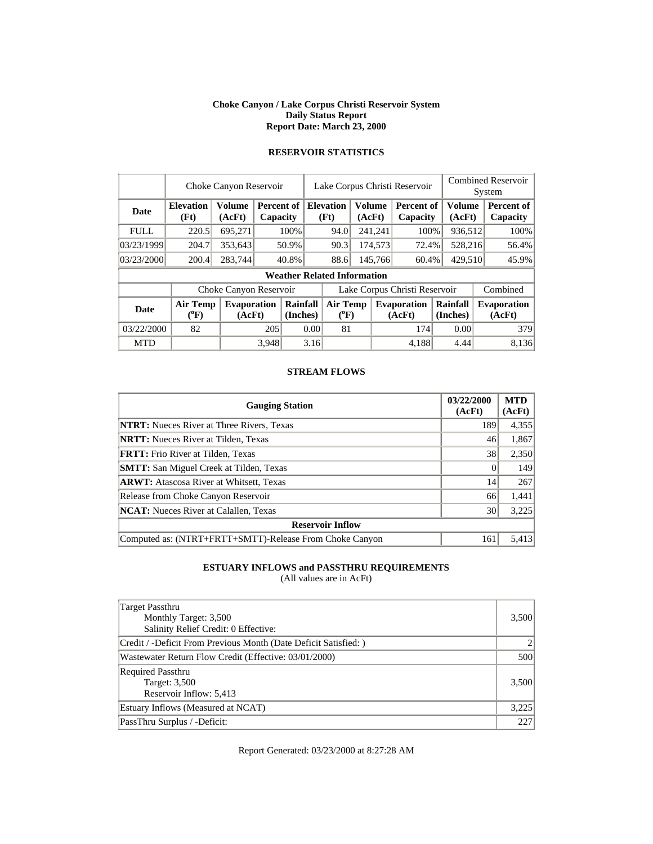#### **Choke Canyon / Lake Corpus Christi Reservoir System Daily Status Report Report Date: March 23, 2000**

|             |                          | Choke Canyon Reservoir       |       |                        |                               | Lake Corpus Christi Reservoir                                                                  |  |                  |                              | <b>Combined Reservoir</b><br>System |          |  |                              |
|-------------|--------------------------|------------------------------|-------|------------------------|-------------------------------|------------------------------------------------------------------------------------------------|--|------------------|------------------------------|-------------------------------------|----------|--|------------------------------|
| Date        | <b>Elevation</b><br>(Ft) | <b>Volume</b><br>(AcFt)      |       | Percent of<br>Capacity |                               | <b>Volume</b><br><b>Volume</b><br><b>Elevation</b><br>Percent of<br>(Ft)<br>(AcFt)<br>Capacity |  | (AcFt)           |                              | Percent of<br>Capacity              |          |  |                              |
| <b>FULL</b> | 220.5                    | 695,271                      |       | 100%                   |                               | 94.0                                                                                           |  | 241,241          | 100%                         |                                     | 936,512  |  | 100%                         |
| 03/23/1999  | 204.7                    | 353,643                      |       | 50.9%                  |                               | 90.3                                                                                           |  | 174,573          | 72.4%                        |                                     | 528,216  |  | 56.4%                        |
| 03/23/2000  | 200.4                    | 283,744                      |       | 40.8%                  |                               | 88.6                                                                                           |  | 145,766<br>60.4% |                              | 429,510                             |          |  | 45.9%                        |
|             |                          |                              |       |                        |                               | <b>Weather Related Information</b>                                                             |  |                  |                              |                                     |          |  |                              |
|             |                          | Choke Canyon Reservoir       |       |                        | Lake Corpus Christi Reservoir |                                                                                                |  |                  |                              |                                     | Combined |  |                              |
| Date        | Air Temp<br>$(^oF)$      | <b>Evaporation</b><br>(AcFt) |       | Rainfall<br>(Inches)   |                               | <b>Air Temp</b><br>$(^{0}F)$                                                                   |  |                  | <b>Evaporation</b><br>(AcFt) | Rainfall<br>(Inches)                |          |  | <b>Evaporation</b><br>(AcFt) |
| 03/22/2000  | 82                       |                              | 205   | 0.00                   |                               | 81                                                                                             |  |                  | 174                          |                                     | 0.00     |  | 379                          |
| <b>MTD</b>  |                          |                              | 3.948 |                        | 3.16                          |                                                                                                |  |                  | 4,188                        |                                     | 4.44     |  | 8,136                        |

# **RESERVOIR STATISTICS**

### **STREAM FLOWS**

| <b>Gauging Station</b>                                  | 03/22/2000<br>(AcFt) | <b>MTD</b><br>(AcFt) |
|---------------------------------------------------------|----------------------|----------------------|
| <b>NTRT:</b> Nueces River at Three Rivers, Texas        | 189                  | 4,355                |
| <b>NRTT:</b> Nueces River at Tilden, Texas              | 46                   | 1,867                |
| <b>FRTT:</b> Frio River at Tilden, Texas                | 38                   | 2,350                |
| <b>SMTT:</b> San Miguel Creek at Tilden, Texas          |                      | 149                  |
| <b>ARWT:</b> Atascosa River at Whitsett, Texas          | 14                   | 267                  |
| Release from Choke Canyon Reservoir                     | 66                   | 1,441                |
| <b>NCAT:</b> Nueces River at Calallen, Texas            | 30                   | 3,225                |
| <b>Reservoir Inflow</b>                                 |                      |                      |
| Computed as: (NTRT+FRTT+SMTT)-Release From Choke Canyon | 161                  | 5,413                |

## **ESTUARY INFLOWS and PASSTHRU REQUIREMENTS**

(All values are in AcFt)

| <b>Target Passthru</b><br>Monthly Target: 3,500<br>Salinity Relief Credit: 0 Effective: | 3,500 |
|-----------------------------------------------------------------------------------------|-------|
| Credit / -Deficit From Previous Month (Date Deficit Satisfied:)                         |       |
| Wastewater Return Flow Credit (Effective: 03/01/2000)                                   | 500   |
| <b>Required Passthru</b><br>Target: 3,500<br>Reservoir Inflow: 5,413                    | 3,500 |
| Estuary Inflows (Measured at NCAT)                                                      | 3,225 |
| PassThru Surplus / -Deficit:                                                            | 227   |

Report Generated: 03/23/2000 at 8:27:28 AM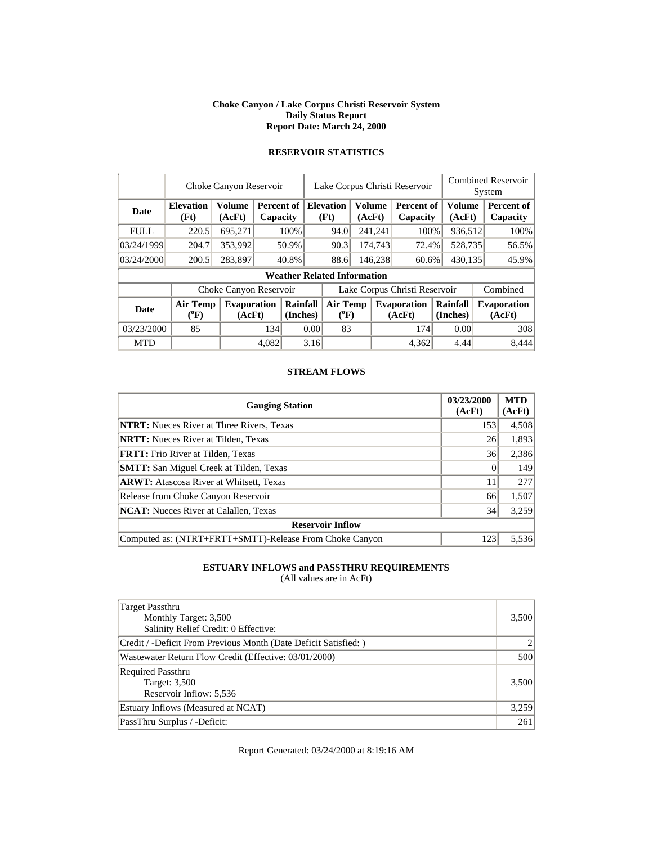#### **Choke Canyon / Lake Corpus Christi Reservoir System Daily Status Report Report Date: March 24, 2000**

|             |                          | Choke Canyon Reservoir       |       |                        |                               | Lake Corpus Christi Reservoir      |                  |                          |                              |                      | <b>Combined Reservoir</b><br>System |       |                              |  |                        |
|-------------|--------------------------|------------------------------|-------|------------------------|-------------------------------|------------------------------------|------------------|--------------------------|------------------------------|----------------------|-------------------------------------|-------|------------------------------|--|------------------------|
| Date        | <b>Elevation</b><br>(Ft) | Volume<br>(AcFt)             |       | Percent of<br>Capacity |                               |                                    |                  | <b>Elevation</b><br>(Ft) | <b>Volume</b><br>(AcFt)      |                      | <b>Percent of</b><br>Capacity       |       | <b>Volume</b><br>(AcFt)      |  | Percent of<br>Capacity |
| <b>FULL</b> | 220.5                    | 695,271                      |       | 100%                   |                               | 94.0                               |                  | 241,241                  | 100%                         |                      | 936,512                             |       | 100%                         |  |                        |
| 03/24/1999  | 204.7                    | 353,992                      |       | 50.9%                  |                               | 90.3                               |                  | 174,743                  | 72.4%                        |                      | 528,735                             |       | 56.5%                        |  |                        |
| 03/24/2000  | 200.5                    | 283,897                      |       | 40.8%                  |                               | 88.6                               | 146,238<br>60.6% |                          |                              | 430,135              |                                     | 45.9% |                              |  |                        |
|             |                          |                              |       |                        |                               | <b>Weather Related Information</b> |                  |                          |                              |                      |                                     |       |                              |  |                        |
|             |                          | Choke Canyon Reservoir       |       |                        | Lake Corpus Christi Reservoir |                                    |                  |                          |                              |                      |                                     |       | Combined                     |  |                        |
| Date        | Air Temp<br>$(^oF)$      | <b>Evaporation</b><br>(AcFt) |       | Rainfall<br>(Inches)   |                               | <b>Air Temp</b><br>$(^{0}F)$       |                  |                          | <b>Evaporation</b><br>(AcFt) | Rainfall<br>(Inches) |                                     |       | <b>Evaporation</b><br>(AcFt) |  |                        |
| 03/23/2000  | 85                       |                              | 134   | 0.00                   |                               | 83                                 |                  |                          | 174                          |                      | 0.00                                |       | 308                          |  |                        |
| <b>MTD</b>  |                          |                              | 4.082 |                        | 3.16                          |                                    |                  |                          | 4,362                        |                      | 4.44                                |       | 8,444                        |  |                        |

# **RESERVOIR STATISTICS**

### **STREAM FLOWS**

| <b>Gauging Station</b>                                  | 03/23/2000<br>(AcFt) | <b>MTD</b><br>(AcFt) |
|---------------------------------------------------------|----------------------|----------------------|
| <b>NTRT:</b> Nueces River at Three Rivers, Texas        | 153                  | 4,508                |
| <b>NRTT:</b> Nueces River at Tilden, Texas              | 26                   | 1,893                |
| <b>FRTT:</b> Frio River at Tilden, Texas                | 36                   | 2,386                |
| <b>SMTT:</b> San Miguel Creek at Tilden, Texas          |                      | 149                  |
| <b>ARWT:</b> Atascosa River at Whitsett, Texas          | 11                   | 277                  |
| Release from Choke Canyon Reservoir                     | 66                   | 1,507                |
| <b>NCAT:</b> Nueces River at Calallen, Texas            | 34                   | 3,259                |
| <b>Reservoir Inflow</b>                                 |                      |                      |
| Computed as: (NTRT+FRTT+SMTT)-Release From Choke Canyon | 123                  | 5,536                |

## **ESTUARY INFLOWS and PASSTHRU REQUIREMENTS**

(All values are in AcFt)

| Target Passthru<br>Monthly Target: 3,500<br>Salinity Relief Credit: 0 Effective: | 3,500 |
|----------------------------------------------------------------------------------|-------|
| Credit / -Deficit From Previous Month (Date Deficit Satisfied:)                  |       |
| Wastewater Return Flow Credit (Effective: 03/01/2000)                            | 500   |
| <b>Required Passthru</b><br>Target: 3,500<br>Reservoir Inflow: 5,536             | 3,500 |
| Estuary Inflows (Measured at NCAT)                                               | 3,259 |
| PassThru Surplus / -Deficit:                                                     | 261   |

Report Generated: 03/24/2000 at 8:19:16 AM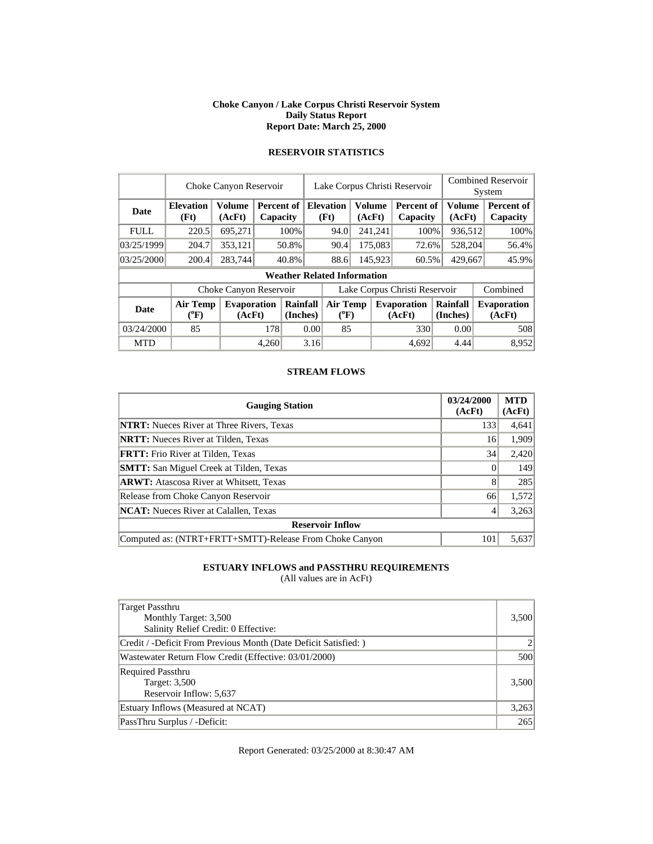#### **Choke Canyon / Lake Corpus Christi Reservoir System Daily Status Report Report Date: March 25, 2000**

|             |                          | Choke Canyon Reservoir       |       |                        |                               | Lake Corpus Christi Reservoir         |    |                          |                              | <b>Combined Reservoir</b><br>System |                               |                              |  |                        |
|-------------|--------------------------|------------------------------|-------|------------------------|-------------------------------|---------------------------------------|----|--------------------------|------------------------------|-------------------------------------|-------------------------------|------------------------------|--|------------------------|
| Date        | <b>Elevation</b><br>(Ft) | Volume<br>(AcFt)             |       | Percent of<br>Capacity |                               |                                       |    | <b>Elevation</b><br>(Ft) | <b>Volume</b><br>(AcFt)      |                                     | <b>Percent of</b><br>Capacity | <b>Volume</b><br>(AcFt)      |  | Percent of<br>Capacity |
| <b>FULL</b> | 220.5                    | 695,271                      |       | 100%                   |                               | 94.0                                  |    | 241,241                  | 100%                         | 936,512                             |                               | 100%                         |  |                        |
| 03/25/1999  | 204.7                    | 353,121                      |       | 50.8%                  |                               |                                       |    | 90.4                     |                              | 175,083                             | 72.6%                         | 528,204                      |  | 56.4%                  |
| 03/25/2000  | 200.4                    | 283,744                      |       | 40.8%                  |                               | 88.6                                  |    | 145,923<br>60.5%         |                              | 429,667                             |                               | 45.9%                        |  |                        |
|             |                          |                              |       |                        |                               | <b>Weather Related Information</b>    |    |                          |                              |                                     |                               |                              |  |                        |
|             |                          | Choke Canyon Reservoir       |       |                        | Lake Corpus Christi Reservoir |                                       |    |                          |                              |                                     |                               | Combined                     |  |                        |
| Date        | Air Temp<br>$(^oF)$      | <b>Evaporation</b><br>(AcFt) |       | Rainfall<br>(Inches)   |                               | <b>Air Temp</b><br>$({}^0\mathrm{F})$ |    |                          | <b>Evaporation</b><br>(AcFt) | Rainfall<br>(Inches)                |                               | <b>Evaporation</b><br>(AcFt) |  |                        |
| 03/24/2000  | 85                       |                              |       | 178<br>0.00            |                               |                                       | 85 |                          | 330                          | 0.00                                |                               | 508                          |  |                        |
| <b>MTD</b>  |                          |                              | 4,260 |                        | 3.16                          |                                       |    |                          | 4,692                        | 4.44                                |                               | 8.952                        |  |                        |

# **RESERVOIR STATISTICS**

### **STREAM FLOWS**

| <b>Gauging Station</b>                                  | 03/24/2000<br>(AcFt) | <b>MTD</b><br>(AcFt) |
|---------------------------------------------------------|----------------------|----------------------|
| <b>NTRT:</b> Nueces River at Three Rivers, Texas        | 133                  | 4,641                |
| <b>NRTT:</b> Nueces River at Tilden, Texas              | 16                   | 1,909                |
| <b>FRTT:</b> Frio River at Tilden, Texas                | 34                   | 2,420                |
| <b>SMTT:</b> San Miguel Creek at Tilden, Texas          |                      | 149                  |
| <b>ARWT:</b> Atascosa River at Whitsett, Texas          | 8                    | 285                  |
| Release from Choke Canyon Reservoir                     | 66                   | 1,572                |
| <b>NCAT:</b> Nueces River at Calallen, Texas            |                      | 3,263                |
| <b>Reservoir Inflow</b>                                 |                      |                      |
| Computed as: (NTRT+FRTT+SMTT)-Release From Choke Canyon | 101                  | 5,637                |

## **ESTUARY INFLOWS and PASSTHRU REQUIREMENTS**

(All values are in AcFt)

| Target Passthru<br>Monthly Target: 3,500<br>Salinity Relief Credit: 0 Effective: | 3,500 |
|----------------------------------------------------------------------------------|-------|
| Credit / -Deficit From Previous Month (Date Deficit Satisfied:)                  |       |
| Wastewater Return Flow Credit (Effective: 03/01/2000)                            | 500   |
| <b>Required Passthru</b><br>Target: 3,500<br>Reservoir Inflow: 5,637             | 3,500 |
| Estuary Inflows (Measured at NCAT)                                               | 3,263 |
| PassThru Surplus / -Deficit:                                                     | 265   |

Report Generated: 03/25/2000 at 8:30:47 AM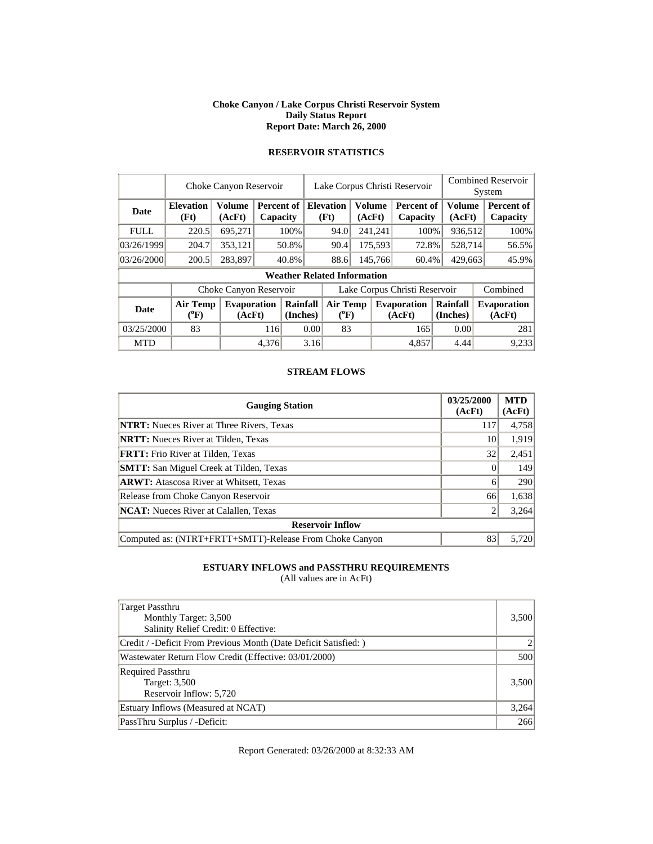#### **Choke Canyon / Lake Corpus Christi Reservoir System Daily Status Report Report Date: March 26, 2000**

|             |                          | Choke Canyon Reservoir       |       |                        |                               | Lake Corpus Christi Reservoir      |  |                          |                              | <b>Combined Reservoir</b> |                        |  |                              |  |                        |
|-------------|--------------------------|------------------------------|-------|------------------------|-------------------------------|------------------------------------|--|--------------------------|------------------------------|---------------------------|------------------------|--|------------------------------|--|------------------------|
|             |                          |                              |       |                        |                               |                                    |  |                          |                              |                           | System                 |  |                              |  |                        |
| Date        | <b>Elevation</b><br>(Ft) | Volume<br>(AcFt)             |       | Percent of<br>Capacity |                               |                                    |  | <b>Elevation</b><br>(Ft) | Volume<br>(AcFt)             |                           | Percent of<br>Capacity |  | <b>Volume</b><br>(AcFt)      |  | Percent of<br>Capacity |
| <b>FULL</b> | 220.5                    | 695,271                      |       | 100%                   |                               | 94.0                               |  | 241,241                  | 100%                         |                           | 936,512                |  | 100%                         |  |                        |
| 03/26/1999  | 204.7                    | 353,121                      |       | 50.8%                  |                               | 90.4                               |  | 175,593                  | 72.8%                        |                           | 528,714                |  | 56.5%                        |  |                        |
| 03/26/2000  | 200.5                    | 283,897                      |       | 40.8%                  |                               | 88.6                               |  | 145,766<br>60.4%         |                              | 429,663                   |                        |  | 45.9%                        |  |                        |
|             |                          |                              |       |                        |                               | <b>Weather Related Information</b> |  |                          |                              |                           |                        |  |                              |  |                        |
|             |                          | Choke Canyon Reservoir       |       |                        | Lake Corpus Christi Reservoir |                                    |  |                          |                              |                           |                        |  | Combined                     |  |                        |
| Date        | Air Temp<br>$(^oF)$      | <b>Evaporation</b><br>(AcFt) |       | Rainfall<br>(Inches)   | <b>Air Temp</b><br>$(^{0}F)$  |                                    |  |                          | <b>Evaporation</b><br>(AcFt) | Rainfall<br>(Inches)      |                        |  | <b>Evaporation</b><br>(AcFt) |  |                        |
| 03/25/2000  | 83                       |                              |       | 0.00<br>116            |                               | 83                                 |  |                          | 165                          |                           | 0.00                   |  | 281                          |  |                        |
| <b>MTD</b>  |                          |                              | 4,376 |                        | 3.16                          |                                    |  |                          | 4,857                        |                           | 4.44                   |  | 9,233                        |  |                        |

# **RESERVOIR STATISTICS**

### **STREAM FLOWS**

| <b>Gauging Station</b>                                  | 03/25/2000<br>(AcFt) | <b>MTD</b><br>(AcFt) |
|---------------------------------------------------------|----------------------|----------------------|
| <b>NTRT:</b> Nueces River at Three Rivers, Texas        | 117                  | 4,758                |
| <b>NRTT:</b> Nueces River at Tilden, Texas              | 10                   | 1,919                |
| <b>FRTT:</b> Frio River at Tilden, Texas                | 32                   | 2,451                |
| <b>SMTT:</b> San Miguel Creek at Tilden, Texas          |                      | 149                  |
| <b>ARWT:</b> Atascosa River at Whitsett, Texas          | 6                    | 290                  |
| Release from Choke Canyon Reservoir                     | 66                   | 1,638                |
| <b>NCAT:</b> Nueces River at Calallen, Texas            |                      | 3,264                |
| <b>Reservoir Inflow</b>                                 |                      |                      |
| Computed as: (NTRT+FRTT+SMTT)-Release From Choke Canyon | 83                   | 5.720                |

## **ESTUARY INFLOWS and PASSTHRU REQUIREMENTS**

(All values are in AcFt)

| <b>Target Passthru</b><br>Monthly Target: 3,500<br>Salinity Relief Credit: 0 Effective: | 3,500 |
|-----------------------------------------------------------------------------------------|-------|
| Credit / -Deficit From Previous Month (Date Deficit Satisfied:)                         |       |
| Wastewater Return Flow Credit (Effective: 03/01/2000)                                   | 500   |
| <b>Required Passthru</b><br>Target: 3,500<br>Reservoir Inflow: 5,720                    | 3,500 |
| Estuary Inflows (Measured at NCAT)                                                      | 3,264 |
| PassThru Surplus / -Deficit:                                                            | 266   |

Report Generated: 03/26/2000 at 8:32:33 AM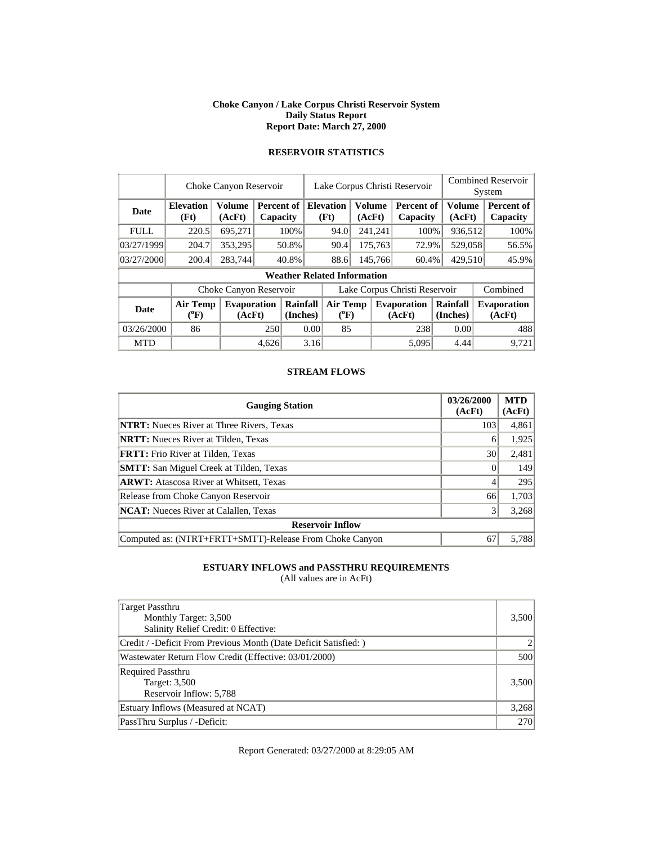#### **Choke Canyon / Lake Corpus Christi Reservoir System Daily Status Report Report Date: March 27, 2000**

|             |                          | Choke Canyon Reservoir       |       |                        | Lake Corpus Christi Reservoir |                                       | <b>Combined Reservoir</b><br>System |                          |                              |                      |                               |                              |                  |                        |
|-------------|--------------------------|------------------------------|-------|------------------------|-------------------------------|---------------------------------------|-------------------------------------|--------------------------|------------------------------|----------------------|-------------------------------|------------------------------|------------------|------------------------|
| Date        | <b>Elevation</b><br>(Ft) | <b>Volume</b><br>(AcFt)      |       | Percent of<br>Capacity |                               |                                       |                                     | <b>Elevation</b><br>(Ft) | <b>Volume</b>                | (AcFt)               | <b>Percent of</b><br>Capacity |                              | Volume<br>(AcFt) | Percent of<br>Capacity |
| <b>FULL</b> | 220.5                    | 695.271                      |       | 100%                   |                               | 94.0                                  |                                     | 241,241                  | 100%                         |                      | 936,512                       | 100%                         |                  |                        |
| 03/27/1999  | 204.7                    | 353,295                      |       | 50.8%                  |                               |                                       |                                     | 90.4                     |                              | 175,763              | 72.9%                         |                              | 529,058          | 56.5%                  |
| 03/27/2000  | 200.4                    | 283,744                      |       | 40.8%                  |                               | 88.6                                  |                                     | 145,766                  | 60.4%                        | 429,510              |                               | 45.9%                        |                  |                        |
|             |                          |                              |       |                        |                               | <b>Weather Related Information</b>    |                                     |                          |                              |                      |                               |                              |                  |                        |
|             |                          | Choke Canyon Reservoir       |       |                        | Lake Corpus Christi Reservoir |                                       |                                     |                          |                              |                      |                               | Combined                     |                  |                        |
| Date        | Air Temp<br>$(^{0}F)$    | <b>Evaporation</b><br>(AcFt) |       | Rainfall<br>(Inches)   |                               | <b>Air Temp</b><br>$({}^0\mathrm{F})$ |                                     |                          | <b>Evaporation</b><br>(AcFt) | Rainfall<br>(Inches) |                               | <b>Evaporation</b><br>(AcFt) |                  |                        |
| 03/26/2000  | 86                       |                              |       | 250<br>0.00            |                               |                                       | 85                                  |                          | 238                          |                      | 0.00                          | 488                          |                  |                        |
| <b>MTD</b>  |                          |                              | 4,626 |                        | 3.16                          |                                       |                                     |                          | 5,095                        |                      | 4.44                          | 9.721                        |                  |                        |

# **RESERVOIR STATISTICS**

### **STREAM FLOWS**

| <b>Gauging Station</b>                                  | 03/26/2000<br>(AcFt) | <b>MTD</b><br>(AcFt) |
|---------------------------------------------------------|----------------------|----------------------|
| <b>NTRT:</b> Nueces River at Three Rivers, Texas        | 103                  | 4,861                |
| <b>NRTT:</b> Nueces River at Tilden, Texas              | 6                    | 1,925                |
| <b>FRTT:</b> Frio River at Tilden, Texas                | 30                   | 2,481                |
| <b>SMTT:</b> San Miguel Creek at Tilden, Texas          |                      | 149                  |
| <b>ARWT:</b> Atascosa River at Whitsett, Texas          |                      | 295                  |
| Release from Choke Canyon Reservoir                     | 66                   | 1,703                |
| <b>NCAT:</b> Nueces River at Calallen, Texas            |                      | 3,268                |
| <b>Reservoir Inflow</b>                                 |                      |                      |
| Computed as: (NTRT+FRTT+SMTT)-Release From Choke Canyon | 67                   | 5.788                |

## **ESTUARY INFLOWS and PASSTHRU REQUIREMENTS**

(All values are in AcFt)

| Target Passthru<br>Monthly Target: 3,500<br>Salinity Relief Credit: 0 Effective: | 3,500      |
|----------------------------------------------------------------------------------|------------|
| Credit / -Deficit From Previous Month (Date Deficit Satisfied: )                 |            |
| Wastewater Return Flow Credit (Effective: 03/01/2000)                            | 500        |
| <b>Required Passthru</b><br>Target: 3,500<br>Reservoir Inflow: 5,788             | 3,500      |
| Estuary Inflows (Measured at NCAT)                                               | 3,268      |
| PassThru Surplus / -Deficit:                                                     | <b>270</b> |

Report Generated: 03/27/2000 at 8:29:05 AM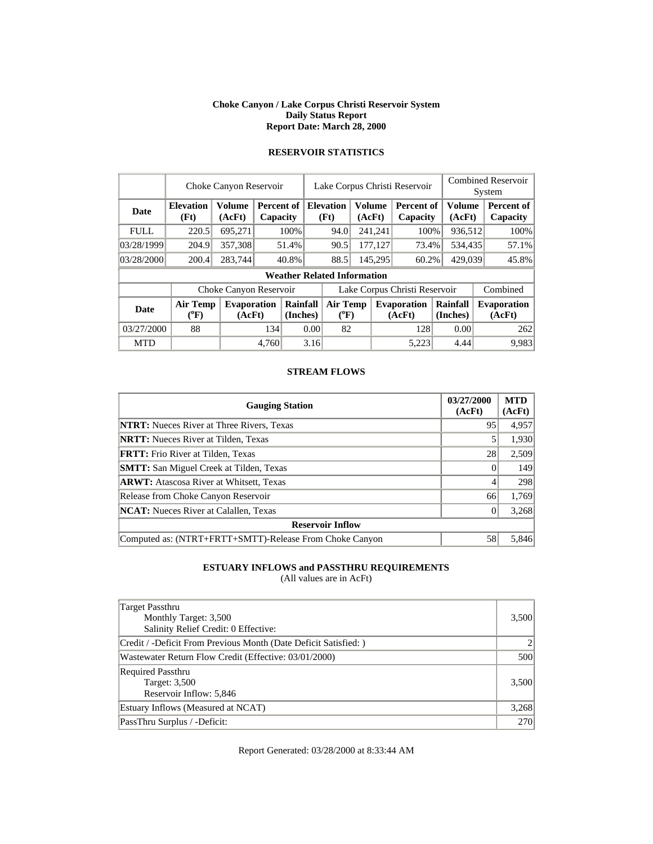#### **Choke Canyon / Lake Corpus Christi Reservoir System Daily Status Report Report Date: March 28, 2000**

|             |                              | Choke Canyon Reservoir       |       |                        |                               | Lake Corpus Christi Reservoir      |    |                          |                              | <b>Combined Reservoir</b> |                        |                              |                         |                        |
|-------------|------------------------------|------------------------------|-------|------------------------|-------------------------------|------------------------------------|----|--------------------------|------------------------------|---------------------------|------------------------|------------------------------|-------------------------|------------------------|
|             |                              |                              |       |                        |                               |                                    |    |                          |                              |                           |                        | System                       |                         |                        |
| Date        | <b>Elevation</b><br>(Ft)     | <b>Volume</b><br>(AcFt)      |       | Percent of<br>Capacity |                               |                                    |    | <b>Elevation</b><br>(Ft) |                              | Volume<br>(AcFt)          | Percent of<br>Capacity |                              | <b>Volume</b><br>(AcFt) | Percent of<br>Capacity |
| <b>FULL</b> | 220.5                        | 695,271                      |       | 100%                   |                               | 94.0                               |    | 241,241                  | 100%                         |                           | 936,512                | 100%                         |                         |                        |
| 03/28/1999  | 204.9                        | 357,308                      |       | 51.4%                  |                               | 90.5                               |    | 177,127                  | 73.4%                        |                           | 534,435                | 57.1%                        |                         |                        |
| 03/28/2000  | 200.4                        | 283,744                      |       | 40.8%                  |                               | 88.5                               |    | 145,295<br>60.2%         |                              |                           | 429,039                | 45.8%                        |                         |                        |
|             |                              |                              |       |                        |                               | <b>Weather Related Information</b> |    |                          |                              |                           |                        |                              |                         |                        |
|             |                              | Choke Canyon Reservoir       |       |                        | Lake Corpus Christi Reservoir |                                    |    |                          |                              |                           |                        | Combined                     |                         |                        |
| <b>Date</b> | <b>Air Temp</b><br>$(^{0}F)$ | <b>Evaporation</b><br>(AcFt) |       | Rainfall<br>(Inches)   | Air Temp<br>$(^{0}F)$         |                                    |    |                          | <b>Evaporation</b><br>(AcFt) | Rainfall<br>(Inches)      |                        | <b>Evaporation</b><br>(AcFt) |                         |                        |
| 03/27/2000  | 88                           |                              |       | 134<br>0.00            |                               |                                    | 82 |                          | 128                          |                           | 0.00                   | 262                          |                         |                        |
| <b>MTD</b>  |                              |                              | 4,760 |                        | 3.16                          |                                    |    |                          | 5,223                        |                           | 4.44                   | 9.983                        |                         |                        |

# **RESERVOIR STATISTICS**

### **STREAM FLOWS**

| <b>Gauging Station</b>                                  | 03/27/2000<br>(AcFt) | <b>MTD</b><br>(AcFt) |
|---------------------------------------------------------|----------------------|----------------------|
| <b>NTRT:</b> Nueces River at Three Rivers, Texas        | 95                   | 4,957                |
| <b>NRTT:</b> Nueces River at Tilden, Texas              |                      | 1,930                |
| <b>FRTT:</b> Frio River at Tilden, Texas                | 28                   | 2,509                |
| <b>SMTT:</b> San Miguel Creek at Tilden, Texas          |                      | 149                  |
| <b>ARWT:</b> Atascosa River at Whitsett, Texas          |                      | 298                  |
| Release from Choke Canyon Reservoir                     | 66                   | 1,769                |
| <b>NCAT:</b> Nueces River at Calallen, Texas            |                      | 3,268                |
| <b>Reservoir Inflow</b>                                 |                      |                      |
| Computed as: (NTRT+FRTT+SMTT)-Release From Choke Canyon | 58                   | 5.846                |

## **ESTUARY INFLOWS and PASSTHRU REQUIREMENTS**

(All values are in AcFt)

| Target Passthru<br>Monthly Target: 3,500<br>Salinity Relief Credit: 0 Effective: | 3,500      |
|----------------------------------------------------------------------------------|------------|
| Credit / -Deficit From Previous Month (Date Deficit Satisfied: )                 |            |
| Wastewater Return Flow Credit (Effective: 03/01/2000)                            | 500        |
| <b>Required Passthru</b><br>Target: 3,500<br>Reservoir Inflow: 5,846             | 3,500      |
| Estuary Inflows (Measured at NCAT)                                               | 3,268      |
| PassThru Surplus / -Deficit:                                                     | <b>270</b> |

Report Generated: 03/28/2000 at 8:33:44 AM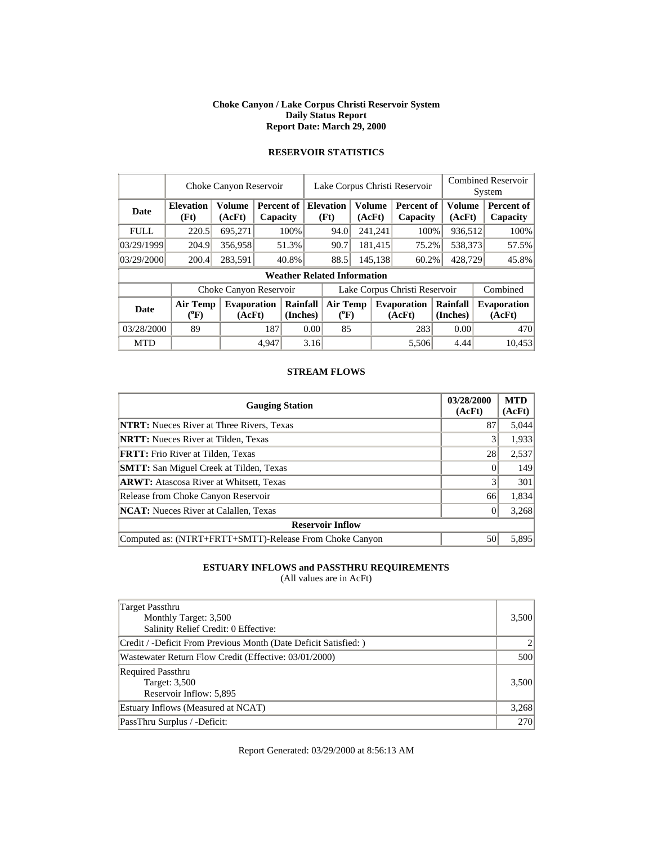#### **Choke Canyon / Lake Corpus Christi Reservoir System Daily Status Report Report Date: March 29, 2000**

|             | Choke Canyon Reservoir     | Lake Corpus Christi Reservoir |       |                        |                               |                                    |  | <b>Combined Reservoir</b><br>System               |                              |                      |                         |                              |  |
|-------------|----------------------------|-------------------------------|-------|------------------------|-------------------------------|------------------------------------|--|---------------------------------------------------|------------------------------|----------------------|-------------------------|------------------------------|--|
| Date        | <b>Elevation</b><br>(Ft)   | Volume<br>(AcFt)              |       | Percent of<br>Capacity |                               | <b>Elevation</b><br>(Ft)           |  | <b>Volume</b><br>Percent of<br>(AcFt)<br>Capacity |                              |                      | <b>Volume</b><br>(AcFt) | Percent of<br>Capacity       |  |
| <b>FULL</b> | 220.5                      | 695,271                       |       | 100%                   |                               | 94.0                               |  | 241,241                                           |                              | 100%<br>936,512      |                         | 100%                         |  |
| 03/29/1999  | 204.9                      | 356,958                       |       | 51.3%                  |                               | 90.7                               |  | 181,415                                           | 75.2%                        |                      | 538,373                 | 57.5%                        |  |
| 03/29/2000  | 200.4                      | 283,591                       |       | 40.8%                  |                               | 88.5                               |  | 145,138                                           | 60.2%                        |                      | 428,729                 | 45.8%                        |  |
|             |                            |                               |       |                        |                               | <b>Weather Related Information</b> |  |                                                   |                              |                      |                         |                              |  |
|             |                            | Choke Canyon Reservoir        |       |                        | Lake Corpus Christi Reservoir |                                    |  |                                                   |                              |                      | Combined                |                              |  |
| <b>Date</b> | <b>Air Temp</b><br>$(^oF)$ | <b>Evaporation</b><br>(AcFt)  |       | Rainfall<br>(Inches)   |                               | Air Temp<br>$(^{0}F)$              |  |                                                   | <b>Evaporation</b><br>(AcFt) | Rainfall<br>(Inches) |                         | <b>Evaporation</b><br>(AcFt) |  |
| 03/28/2000  | 89                         |                               |       | 187<br>0.00            |                               | 85                                 |  |                                                   | 283                          |                      | 0.00                    | 470                          |  |
| <b>MTD</b>  |                            |                               | 4.947 |                        | 3.16                          |                                    |  |                                                   | 5,506                        |                      | 4.44                    | 10,453                       |  |

# **RESERVOIR STATISTICS**

### **STREAM FLOWS**

| <b>Gauging Station</b>                                  | 03/28/2000<br>(AcFt) | <b>MTD</b><br>(AcFt) |
|---------------------------------------------------------|----------------------|----------------------|
| <b>NTRT:</b> Nueces River at Three Rivers, Texas        | 87                   | 5,044                |
| <b>NRTT:</b> Nueces River at Tilden, Texas              |                      | 1,933                |
| <b>FRTT:</b> Frio River at Tilden, Texas                | 28                   | 2,537                |
| <b>SMTT:</b> San Miguel Creek at Tilden, Texas          |                      | 149                  |
| <b>ARWT:</b> Atascosa River at Whitsett, Texas          |                      | 301                  |
| Release from Choke Canyon Reservoir                     | 66                   | 1,834                |
| <b>NCAT:</b> Nueces River at Calallen, Texas            |                      | 3,268                |
| <b>Reservoir Inflow</b>                                 |                      |                      |
| Computed as: (NTRT+FRTT+SMTT)-Release From Choke Canyon | 50                   | 5.895                |

## **ESTUARY INFLOWS and PASSTHRU REQUIREMENTS**

(All values are in AcFt)

| Target Passthru<br>Monthly Target: 3,500<br>Salinity Relief Credit: 0 Effective: | 3,500      |
|----------------------------------------------------------------------------------|------------|
| Credit / -Deficit From Previous Month (Date Deficit Satisfied: )                 |            |
| Wastewater Return Flow Credit (Effective: 03/01/2000)                            | 500        |
| <b>Required Passthru</b><br>Target: 3,500<br>Reservoir Inflow: 5,895             | 3,500      |
| Estuary Inflows (Measured at NCAT)                                               | 3,268      |
| PassThru Surplus / -Deficit:                                                     | <b>270</b> |

Report Generated: 03/29/2000 at 8:56:13 AM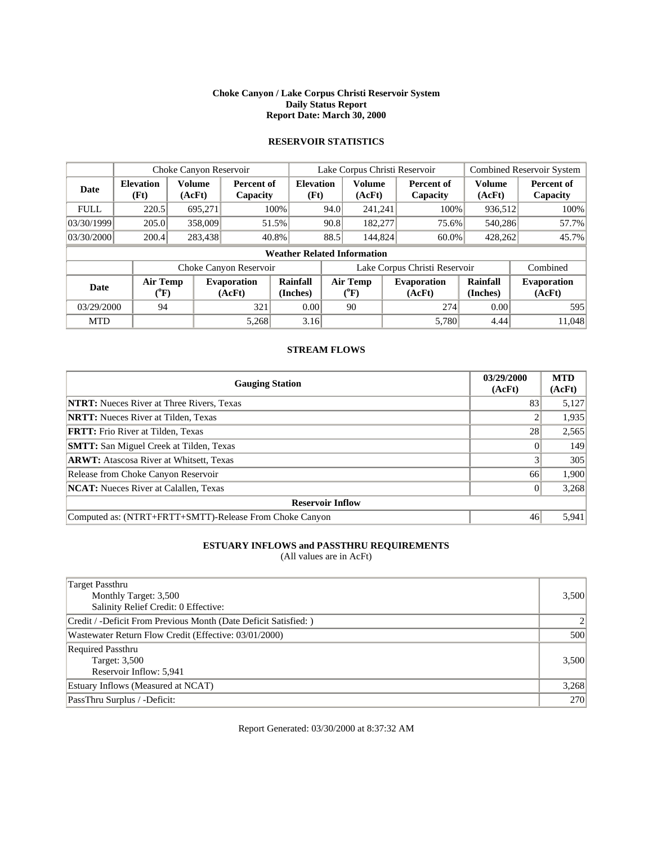### **Choke Canyon / Lake Corpus Christi Reservoir System Daily Status Report Report Date: March 30, 2000**

### **RESERVOIR STATISTICS**

|             |                                       | Choke Canyon Reservoir       |                        |                                    | Lake Corpus Christi Reservoir |                         |     | <b>Combined Reservoir System</b> |                         |                              |
|-------------|---------------------------------------|------------------------------|------------------------|------------------------------------|-------------------------------|-------------------------|-----|----------------------------------|-------------------------|------------------------------|
| Date        | <b>Elevation</b><br>(Ft)              | Volume<br>(AcFt)             | Percent of<br>Capacity | <b>Elevation</b><br>(Ft)           |                               | <b>Volume</b><br>(AcFt) |     | <b>Percent of</b><br>Capacity    | <b>Volume</b><br>(AcFt) | Percent of<br>Capacity       |
| <b>FULL</b> | 220.5                                 | 695,271                      |                        | 100%                               | 94.0                          | 241,241                 |     | 100%                             | 936,512                 | 100%                         |
| 03/30/1999  | 205.0                                 | 358,009                      |                        | 51.5%                              | 90.8                          | 182,277                 |     | 75.6%                            | 540.286                 | 57.7%                        |
| 03/30/2000  | 200.4                                 | 283,438                      |                        | 40.8%                              | 88.5                          | 144,824                 |     | $60.0\%$                         | 428,262                 | 45.7%                        |
|             |                                       |                              |                        | <b>Weather Related Information</b> |                               |                         |     |                                  |                         |                              |
|             |                                       |                              | Choke Canyon Reservoir |                                    |                               |                         |     | Lake Corpus Christi Reservoir    |                         | Combined                     |
| <b>Date</b> | <b>Air Temp</b><br>$({}^0\mathrm{F})$ | <b>Evaporation</b><br>(AcFt) |                        | Rainfall<br>(Inches)               | <b>Air Temp</b><br>$(^{0}F)$  |                         |     | <b>Evaporation</b><br>(AcFt)     | Rainfall<br>(Inches)    | <b>Evaporation</b><br>(AcFt) |
| 03/29/2000  | 94                                    |                              | 321                    | 0.00                               | 90                            |                         | 274 |                                  | 0.00                    | 595                          |
| <b>MTD</b>  |                                       |                              | 5,268                  | 3.16                               |                               |                         |     | 5,780                            | 4.44                    | 11,048                       |

### **STREAM FLOWS**

| <b>Gauging Station</b>                                  | 03/29/2000<br>(AcFt) | <b>MTD</b><br>(AcFt) |
|---------------------------------------------------------|----------------------|----------------------|
| <b>NTRT:</b> Nueces River at Three Rivers, Texas        | 83                   | 5,127                |
| <b>NRTT:</b> Nueces River at Tilden, Texas              |                      | 1,935                |
| <b>FRTT:</b> Frio River at Tilden, Texas                | 28                   | 2,565                |
| <b>SMTT:</b> San Miguel Creek at Tilden, Texas          |                      | 149                  |
| <b>ARWT:</b> Atascosa River at Whitsett, Texas          |                      | 305                  |
| Release from Choke Canyon Reservoir                     | 66                   | 1,900                |
| <b>NCAT:</b> Nueces River at Calallen, Texas            | 0                    | 3,268                |
| <b>Reservoir Inflow</b>                                 |                      |                      |
| Computed as: (NTRT+FRTT+SMTT)-Release From Choke Canyon | 46                   | 5,941                |

### **ESTUARY INFLOWS and PASSTHRU REQUIREMENTS**

(All values are in AcFt)

| Target Passthru                                                  |       |
|------------------------------------------------------------------|-------|
| Monthly Target: 3,500                                            | 3,500 |
| Salinity Relief Credit: 0 Effective:                             |       |
| Credit / -Deficit From Previous Month (Date Deficit Satisfied: ) | 2     |
| Wastewater Return Flow Credit (Effective: 03/01/2000)            | 500   |
| <b>Required Passthru</b>                                         |       |
| Target: 3,500                                                    | 3,500 |
| Reservoir Inflow: 5,941                                          |       |
| Estuary Inflows (Measured at NCAT)                               | 3,268 |
| PassThru Surplus / -Deficit:                                     | 270   |

Report Generated: 03/30/2000 at 8:37:32 AM